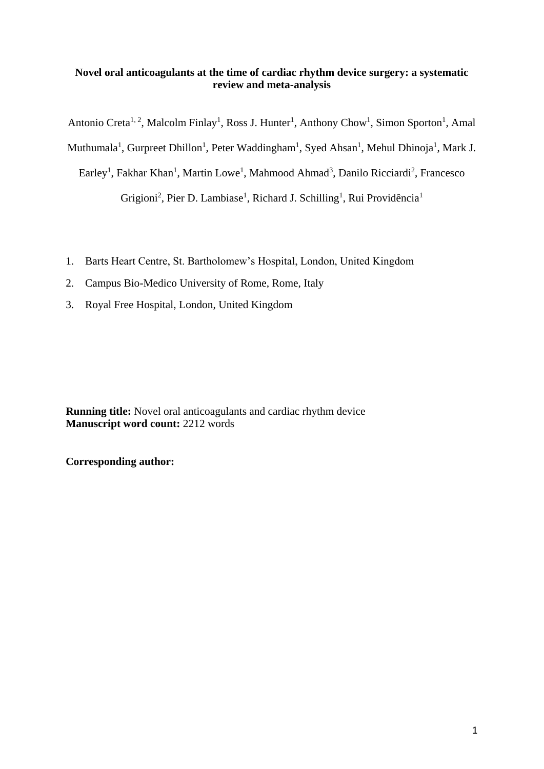# **Novel oral anticoagulants at the time of cardiac rhythm device surgery: a systematic review and meta-analysis**

Antonio Creta<sup>1, 2</sup>, Malcolm Finlay<sup>1</sup>, Ross J. Hunter<sup>1</sup>, Anthony Chow<sup>1</sup>, Simon Sporton<sup>1</sup>, Amal

Muthumala<sup>1</sup>, Gurpreet Dhillon<sup>1</sup>, Peter Waddingham<sup>1</sup>, Syed Ahsan<sup>1</sup>, Mehul Dhinoja<sup>1</sup>, Mark J.

Earley<sup>1</sup>, Fakhar Khan<sup>1</sup>, Martin Lowe<sup>1</sup>, Mahmood Ahmad<sup>3</sup>, Danilo Ricciardi<sup>2</sup>, Francesco

Grigioni<sup>2</sup>, Pier D. Lambiase<sup>1</sup>, Richard J. Schilling<sup>1</sup>, Rui Providência<sup>1</sup>

- 1. Barts Heart Centre, St. Bartholomew's Hospital, London, United Kingdom
- 2. Campus Bio-Medico University of Rome, Rome, Italy
- 3. Royal Free Hospital, London, United Kingdom

**Running title:** Novel oral anticoagulants and cardiac rhythm device **Manuscript word count:** 2212 words

**Corresponding author:**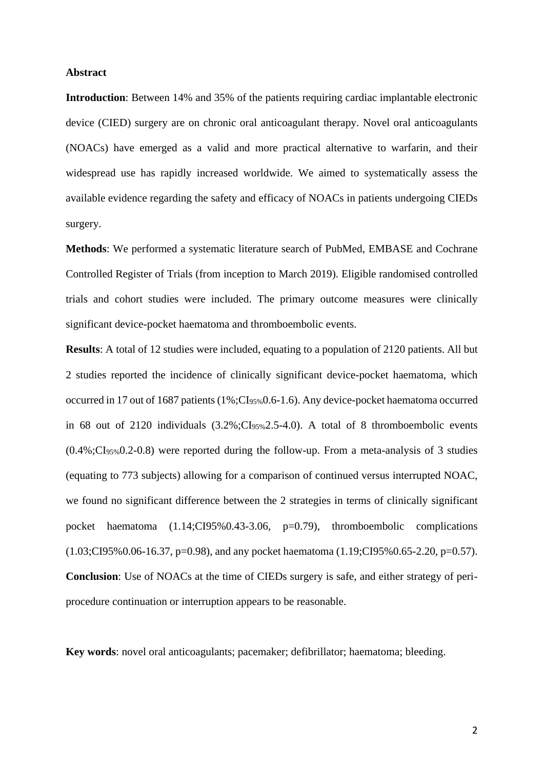## **Abstract**

**Introduction**: Between 14% and 35% of the patients requiring cardiac implantable electronic device (CIED) surgery are on chronic oral anticoagulant therapy. Novel oral anticoagulants (NOACs) have emerged as a valid and more practical alternative to warfarin, and their widespread use has rapidly increased worldwide. We aimed to systematically assess the available evidence regarding the safety and efficacy of NOACs in patients undergoing CIEDs surgery.

**Methods**: We performed a systematic literature search of PubMed, EMBASE and Cochrane Controlled Register of Trials (from inception to March 2019). Eligible randomised controlled trials and cohort studies were included. The primary outcome measures were clinically significant device-pocket haematoma and thromboembolic events.

**Results**: A total of 12 studies were included, equating to a population of 2120 patients. All but 2 studies reported the incidence of clinically significant device-pocket haematoma, which occurred in 17 out of 1687 patients (1%;CI95%0.6-1.6). Any device-pocket haematoma occurred in 68 out of 2120 individuals  $(3.2\%;\mathrm{CI}_{95\%}2.5-4.0)$ . A total of 8 thromboembolic events (0.4%;CI95%0.2-0.8) were reported during the follow-up. From a meta-analysis of 3 studies (equating to 773 subjects) allowing for a comparison of continued versus interrupted NOAC, we found no significant difference between the 2 strategies in terms of clinically significant pocket haematoma (1.14;CI95%0.43-3.06, p=0.79), thromboembolic complications (1.03;CI95%0.06-16.37, p=0.98), and any pocket haematoma (1.19;CI95%0.65-2.20, p=0.57). **Conclusion**: Use of NOACs at the time of CIEDs surgery is safe, and either strategy of periprocedure continuation or interruption appears to be reasonable.

**Key words**: novel oral anticoagulants; pacemaker; defibrillator; haematoma; bleeding.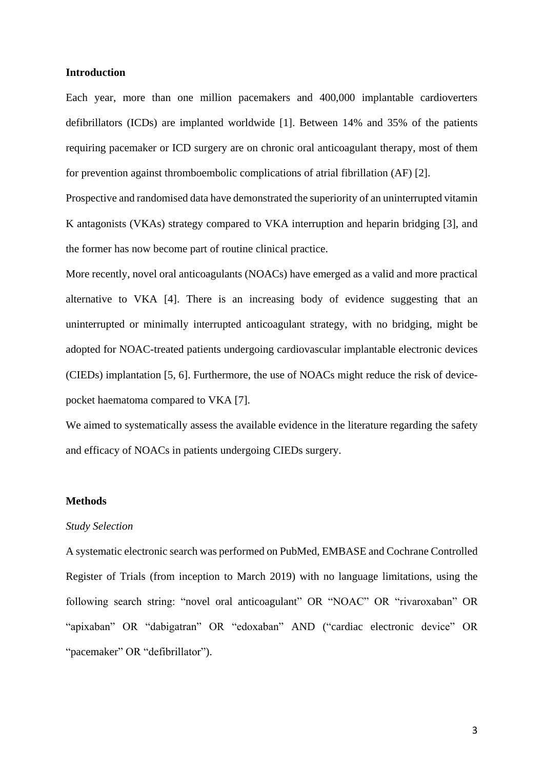## **Introduction**

Each year, more than one million pacemakers and 400,000 implantable cardioverters defibrillators (ICDs) are implanted worldwide [1]. Between 14% and 35% of the patients requiring pacemaker or ICD surgery are on chronic oral anticoagulant therapy, most of them for prevention against thromboembolic complications of atrial fibrillation (AF) [2].

Prospective and randomised data have demonstrated the superiority of an uninterrupted vitamin K antagonists (VKAs) strategy compared to VKA interruption and heparin bridging [3], and the former has now become part of routine clinical practice.

More recently, novel oral anticoagulants (NOACs) have emerged as a valid and more practical alternative to VKA [4]. There is an increasing body of evidence suggesting that an uninterrupted or minimally interrupted anticoagulant strategy, with no bridging, might be adopted for NOAC-treated patients undergoing cardiovascular implantable electronic devices (CIEDs) implantation [5, 6]. Furthermore, the use of NOACs might reduce the risk of devicepocket haematoma compared to VKA [7].

We aimed to systematically assess the available evidence in the literature regarding the safety and efficacy of NOACs in patients undergoing CIEDs surgery.

#### **Methods**

#### *Study Selection*

A systematic electronic search was performed on PubMed, EMBASE and Cochrane Controlled Register of Trials (from inception to March 2019) with no language limitations, using the following search string: "novel oral anticoagulant" OR "NOAC" OR "rivaroxaban" OR "apixaban" OR "dabigatran" OR "edoxaban" AND ("cardiac electronic device" OR "pacemaker" OR "defibrillator").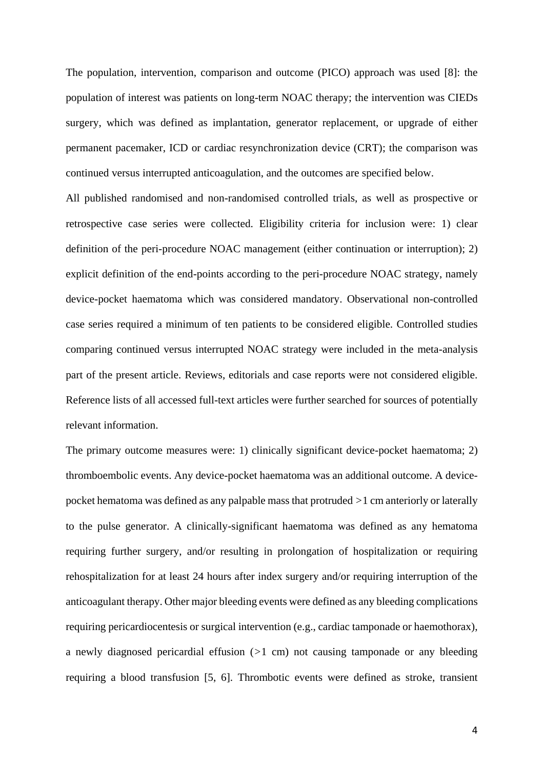The population, intervention, comparison and outcome (PICO) approach was used [8]: the population of interest was patients on long-term NOAC therapy; the intervention was CIEDs surgery, which was defined as implantation, generator replacement, or upgrade of either permanent pacemaker, ICD or cardiac resynchronization device (CRT); the comparison was continued versus interrupted anticoagulation, and the outcomes are specified below.

All published randomised and non-randomised controlled trials, as well as prospective or retrospective case series were collected. Eligibility criteria for inclusion were: 1) clear definition of the peri-procedure NOAC management (either continuation or interruption); 2) explicit definition of the end-points according to the peri-procedure NOAC strategy, namely device-pocket haematoma which was considered mandatory. Observational non-controlled case series required a minimum of ten patients to be considered eligible. Controlled studies comparing continued versus interrupted NOAC strategy were included in the meta-analysis part of the present article. Reviews, editorials and case reports were not considered eligible. Reference lists of all accessed full-text articles were further searched for sources of potentially relevant information.

The primary outcome measures were: 1) clinically significant device-pocket haematoma; 2) thromboembolic events. Any device-pocket haematoma was an additional outcome. A devicepocket hematoma was defined as any palpable mass that protruded *>*1 cm anteriorly or laterally to the pulse generator. A clinically-significant haematoma was defined as any hematoma requiring further surgery, and/or resulting in prolongation of hospitalization or requiring rehospitalization for at least 24 hours after index surgery and/or requiring interruption of the anticoagulant therapy. Other major bleeding events were defined as any bleeding complications requiring pericardiocentesis or surgical intervention (e.g., cardiac tamponade or haemothorax), a newly diagnosed pericardial effusion (*>*1 cm) not causing tamponade or any bleeding requiring a blood transfusion [5, 6]. Thrombotic events were defined as stroke, transient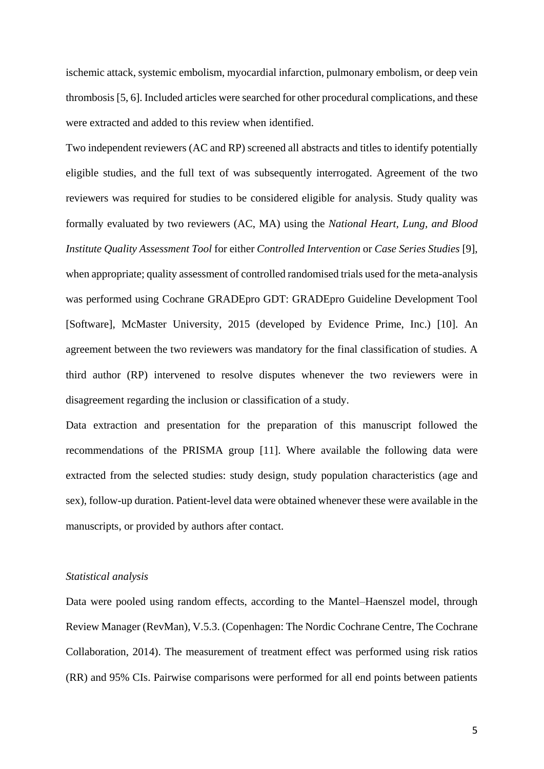ischemic attack, systemic embolism, myocardial infarction, pulmonary embolism, or deep vein thrombosis [5, 6]. Included articles were searched for other procedural complications, and these were extracted and added to this review when identified.

Two independent reviewers (AC and RP) screened all abstracts and titles to identify potentially eligible studies, and the full text of was subsequently interrogated. Agreement of the two reviewers was required for studies to be considered eligible for analysis. Study quality was formally evaluated by two reviewers (AC, MA) using the *National Heart, Lung, and Blood Institute Quality Assessment Tool* for either *Controlled Intervention* or *Case Series Studies* [9], when appropriate; quality assessment of controlled randomised trials used for the meta-analysis was performed using Cochrane GRADEpro GDT: GRADEpro Guideline Development Tool [Software], McMaster University, 2015 (developed by Evidence Prime, Inc.) [10]. An agreement between the two reviewers was mandatory for the final classification of studies. A third author (RP) intervened to resolve disputes whenever the two reviewers were in disagreement regarding the inclusion or classification of a study.

Data extraction and presentation for the preparation of this manuscript followed the recommendations of the PRISMA group [11]. Where available the following data were extracted from the selected studies: study design, study population characteristics (age and sex), follow-up duration. Patient-level data were obtained whenever these were available in the manuscripts, or provided by authors after contact.

# *Statistical analysis*

Data were pooled using random effects, according to the Mantel–Haenszel model, through Review Manager (RevMan), V.5.3. (Copenhagen: The Nordic Cochrane Centre, The Cochrane Collaboration, 2014). The measurement of treatment effect was performed using risk ratios (RR) and 95% CIs. Pairwise comparisons were performed for all end points between patients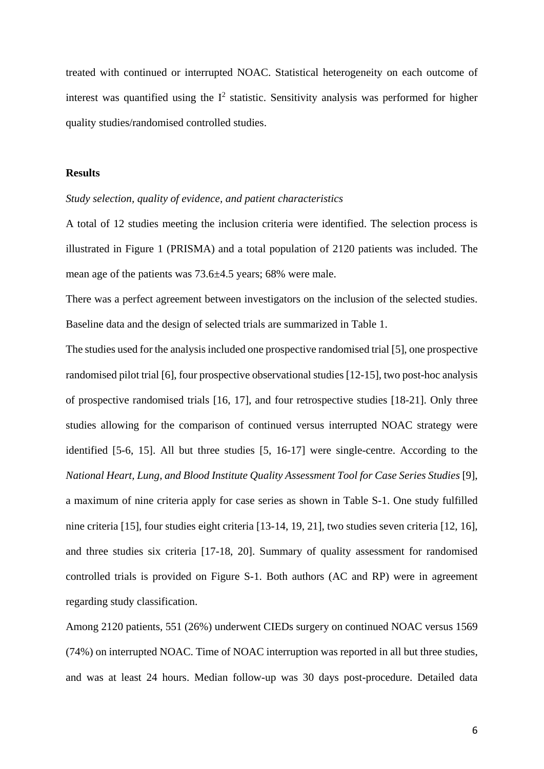treated with continued or interrupted NOAC. Statistical heterogeneity on each outcome of interest was quantified using the  $I^2$  statistic. Sensitivity analysis was performed for higher quality studies/randomised controlled studies.

#### **Results**

# *Study selection, quality of evidence, and patient characteristics*

A total of 12 studies meeting the inclusion criteria were identified. The selection process is illustrated in Figure 1 (PRISMA) and a total population of 2120 patients was included. The mean age of the patients was 73.6±4.5 years; 68% were male.

There was a perfect agreement between investigators on the inclusion of the selected studies. Baseline data and the design of selected trials are summarized in Table 1.

The studies used for the analysis included one prospective randomised trial [5], one prospective randomised pilot trial [6], four prospective observational studies [12-15], two post-hoc analysis of prospective randomised trials [16, 17], and four retrospective studies [18-21]. Only three studies allowing for the comparison of continued versus interrupted NOAC strategy were identified [5-6, 15]. All but three studies [5, 16-17] were single-centre. According to the *National Heart, Lung, and Blood Institute Quality Assessment Tool for Case Series Studies* [9], a maximum of nine criteria apply for case series as shown in Table S-1. One study fulfilled nine criteria [15], four studies eight criteria [13-14, 19, 21], two studies seven criteria [12, 16], and three studies six criteria [17-18, 20]. Summary of quality assessment for randomised controlled trials is provided on Figure S-1. Both authors (AC and RP) were in agreement regarding study classification.

Among 2120 patients, 551 (26%) underwent CIEDs surgery on continued NOAC versus 1569 (74%) on interrupted NOAC. Time of NOAC interruption was reported in all but three studies, and was at least 24 hours. Median follow-up was 30 days post-procedure. Detailed data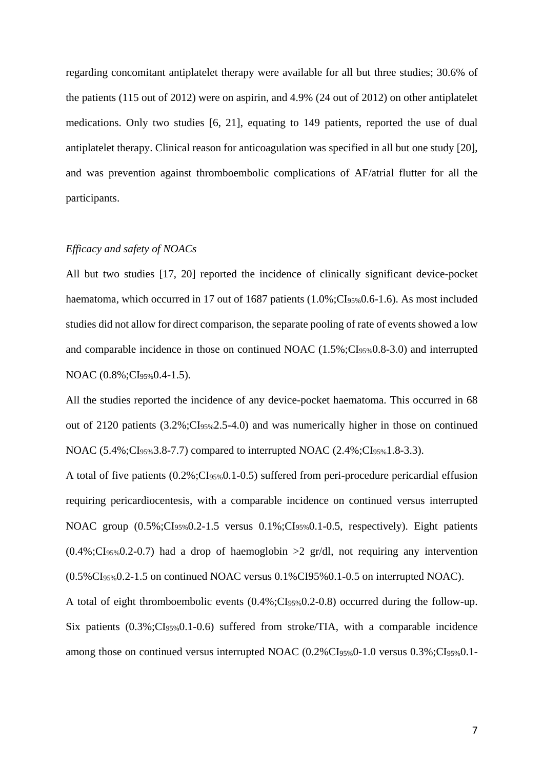regarding concomitant antiplatelet therapy were available for all but three studies; 30.6% of the patients (115 out of 2012) were on aspirin, and 4.9% (24 out of 2012) on other antiplatelet medications. Only two studies [6, 21], equating to 149 patients, reported the use of dual antiplatelet therapy. Clinical reason for anticoagulation was specified in all but one study [20], and was prevention against thromboembolic complications of AF/atrial flutter for all the participants.

## *Efficacy and safety of NOACs*

All but two studies [17, 20] reported the incidence of clinically significant device-pocket haematoma, which occurred in 17 out of 1687 patients (1.0%;CI<sub>95%</sub>0.6-1.6). As most included studies did not allow for direct comparison, the separate pooling of rate of events showed a low and comparable incidence in those on continued NOAC (1.5%;CI95%0.8-3.0) and interrupted NOAC (0.8%; CI<sub>95%</sub> 0.4-1.5).

All the studies reported the incidence of any device-pocket haematoma. This occurred in 68 out of 2120 patients  $(3.2\% \text{ : } Cl<sub>95\%</sub> 2.5-4.0)$  and was numerically higher in those on continued NOAC  $(5.4\%$ ; CI<sub>95%</sub>3.8-7.7) compared to interrupted NOAC  $(2.4\%$ ; CI<sub>95%</sub>1.8-3.3).

A total of five patients (0.2%;CI95%0.1-0.5) suffered from peri-procedure pericardial effusion requiring pericardiocentesis, with a comparable incidence on continued versus interrupted NOAC group  $(0.5\%$ ;CI<sub>95%</sub>0.2-1.5 versus 0.1%;CI<sub>95%</sub>0.1-0.5, respectively). Eight patients  $(0.4\%$ ;CI<sub>95%</sub>0.2-0.7) had a drop of haemoglobin  $>2$  gr/dl, not requiring any intervention  $(0.5\%CI<sub>95%</sub>0.2-1.5$  on continued NOAC versus  $0.1\% CI<sub>95%</sub>0.1-0.5$  on interrupted NOAC).

A total of eight thromboembolic events (0.4%;CI95%0.2-0.8) occurred during the follow-up. Six patients  $(0.3\%$ ; $CI_{95\%}0.1$ -0.6) suffered from stroke/TIA, with a comparable incidence among those on continued versus interrupted NOAC (0.2%CI95%0-1.0 versus 0.3%;CI95%0.1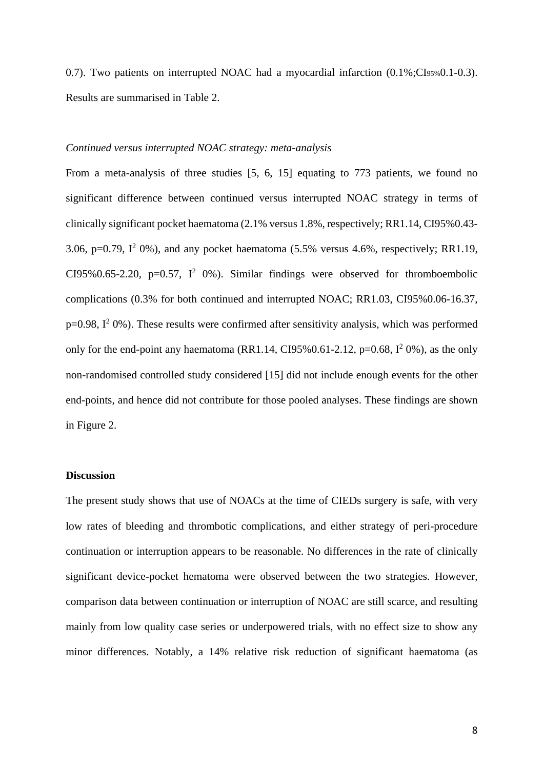0.7). Two patients on interrupted NOAC had a myocardial infarction  $(0.1\%$ ;CI<sub>95%</sub>0.1-0.3). Results are summarised in Table 2.

# *Continued versus interrupted NOAC strategy: meta-analysis*

From a meta-analysis of three studies [5, 6, 15] equating to 773 patients, we found no significant difference between continued versus interrupted NOAC strategy in terms of clinically significant pocket haematoma (2.1% versus 1.8%, respectively; RR1.14, CI95%0.43- 3.06, p=0.79,  $I^2$  0%), and any pocket haematoma (5.5% versus 4.6%, respectively; RR1.19, CI95%0.65-2.20, p=0.57,  $I^2$  0%). Similar findings were observed for thromboembolic complications (0.3% for both continued and interrupted NOAC; RR1.03, CI95%0.06-16.37,  $p=0.98$ ,  $I^2$  0%). These results were confirmed after sensitivity analysis, which was performed only for the end-point any haematoma (RR1.14, CI95%0.61-2.12, p=0.68,  $I^2$  0%), as the only non-randomised controlled study considered [15] did not include enough events for the other end-points, and hence did not contribute for those pooled analyses. These findings are shown in Figure 2.

# **Discussion**

The present study shows that use of NOACs at the time of CIEDs surgery is safe, with very low rates of bleeding and thrombotic complications, and either strategy of peri-procedure continuation or interruption appears to be reasonable. No differences in the rate of clinically significant device-pocket hematoma were observed between the two strategies. However, comparison data between continuation or interruption of NOAC are still scarce, and resulting mainly from low quality case series or underpowered trials, with no effect size to show any minor differences. Notably, a 14% relative risk reduction of significant haematoma (as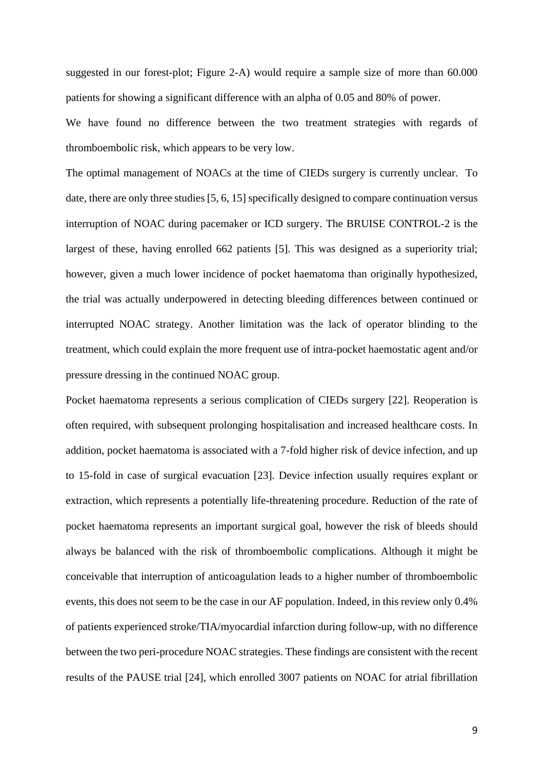suggested in our forest-plot; Figure 2-A) would require a sample size of more than 60.000 patients for showing a significant difference with an alpha of 0.05 and 80% of power.

We have found no difference between the two treatment strategies with regards of thromboembolic risk, which appears to be very low.

The optimal management of NOACs at the time of CIEDs surgery is currently unclear. To date, there are only three studies [5, 6, 15] specifically designed to compare continuation versus interruption of NOAC during pacemaker or ICD surgery. The BRUISE CONTROL-2 is the largest of these, having enrolled 662 patients [5]. This was designed as a superiority trial; however, given a much lower incidence of pocket haematoma than originally hypothesized, the trial was actually underpowered in detecting bleeding differences between continued or interrupted NOAC strategy. Another limitation was the lack of operator blinding to the treatment, which could explain the more frequent use of intra-pocket haemostatic agent and/or pressure dressing in the continued NOAC group.

Pocket haematoma represents a serious complication of CIEDs surgery [22]. Reoperation is often required, with subsequent prolonging hospitalisation and increased healthcare costs. In addition, pocket haematoma is associated with a 7-fold higher risk of device infection, and up to 15-fold in case of surgical evacuation [23]. Device infection usually requires explant or extraction, which represents a potentially life-threatening procedure. Reduction of the rate of pocket haematoma represents an important surgical goal, however the risk of bleeds should always be balanced with the risk of thromboembolic complications. Although it might be conceivable that interruption of anticoagulation leads to a higher number of thromboembolic events, this does not seem to be the case in our AF population. Indeed, in this review only 0.4% of patients experienced stroke/TIA/myocardial infarction during follow-up, with no difference between the two peri-procedure NOAC strategies. These findings are consistent with the recent results of the PAUSE trial [24], which enrolled 3007 patients on NOAC for atrial fibrillation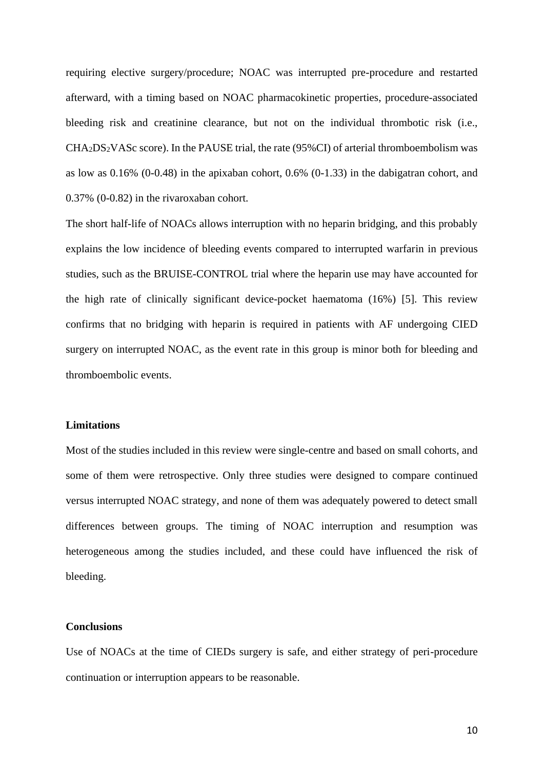requiring elective surgery/procedure; NOAC was interrupted pre-procedure and restarted afterward, with a timing based on NOAC pharmacokinetic properties, procedure-associated bleeding risk and creatinine clearance, but not on the individual thrombotic risk (i.e., CHA2DS2VASc score). In the PAUSE trial, the rate (95%CI) of arterial thromboembolism was as low as 0.16% (0-0.48) in the apixaban cohort, 0.6% (0-1.33) in the dabigatran cohort, and 0.37% (0-0.82) in the rivaroxaban cohort.

The short half-life of NOACs allows interruption with no heparin bridging, and this probably explains the low incidence of bleeding events compared to interrupted warfarin in previous studies, such as the BRUISE-CONTROL trial where the heparin use may have accounted for the high rate of clinically significant device-pocket haematoma (16%) [5]. This review confirms that no bridging with heparin is required in patients with AF undergoing CIED surgery on interrupted NOAC, as the event rate in this group is minor both for bleeding and thromboembolic events.

# **Limitations**

Most of the studies included in this review were single-centre and based on small cohorts, and some of them were retrospective. Only three studies were designed to compare continued versus interrupted NOAC strategy, and none of them was adequately powered to detect small differences between groups. The timing of NOAC interruption and resumption was heterogeneous among the studies included, and these could have influenced the risk of bleeding.

# **Conclusions**

Use of NOACs at the time of CIEDs surgery is safe, and either strategy of peri-procedure continuation or interruption appears to be reasonable.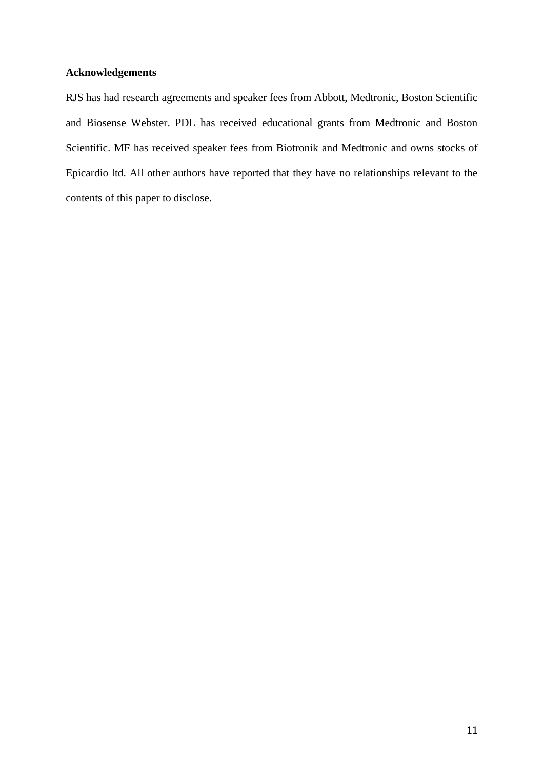# **Acknowledgements**

RJS has had research agreements and speaker fees from Abbott, Medtronic, Boston Scientific and Biosense Webster. PDL has received educational grants from Medtronic and Boston Scientific. MF has received speaker fees from Biotronik and Medtronic and owns stocks of Epicardio ltd. All other authors have reported that they have no relationships relevant to the contents of this paper to disclose.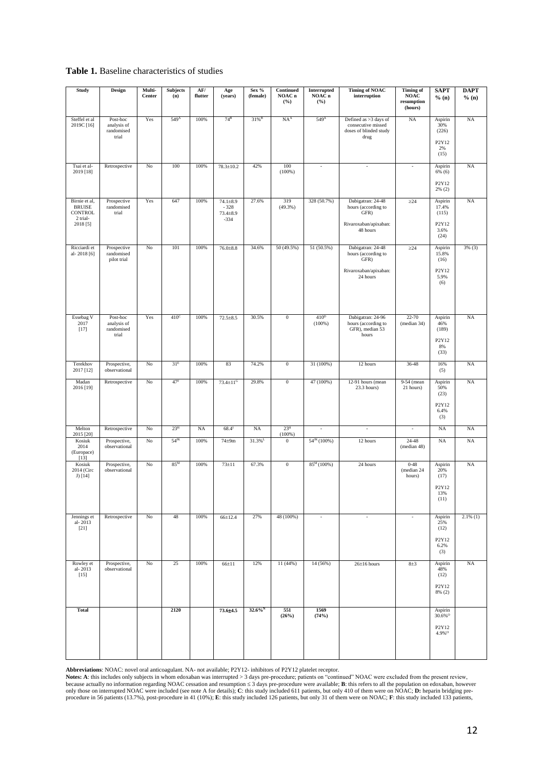#### **Table 1.** Baseline characteristics of studies

| Study                                                 | <b>Design</b>                                  | Multi-<br>Center | <b>Subjects</b><br>(n) | AF/<br>flutter | Age<br>(years)                                 | Sex %<br>(female)     | Continued<br>NOAC <sub>n</sub><br>(%) | Interrupted<br>NOAC n<br>(° <sub>0</sub> ) | <b>Timing of NOAC</b><br>interruption                                         | <b>Timing of</b><br>$\mathbf{NOAC}$<br>resumption<br>(hours) | <b>SAPT</b><br>% (n)          | <b>DAPT</b><br>% (n) |
|-------------------------------------------------------|------------------------------------------------|------------------|------------------------|----------------|------------------------------------------------|-----------------------|---------------------------------------|--------------------------------------------|-------------------------------------------------------------------------------|--------------------------------------------------------------|-------------------------------|----------------------|
| Steffel et al<br>2019C [16]                           | Post-hoc<br>analysis of<br>randomised<br>trial | Yes              | 549 <sup>A</sup>       | 100%           | $74^B$                                         | $31\%$ <sup>B</sup>   | NA <sup>A</sup>                       | 549 <sup>A</sup>                           | Defined as >3 days of<br>consecutive missed<br>doses of blinded study<br>drug | <b>NA</b>                                                    | Aspirin<br>30%<br>(226)       | <b>NA</b>            |
|                                                       |                                                |                  |                        |                |                                                |                       |                                       |                                            |                                                                               |                                                              | P2Y12<br>2%<br>(15)           |                      |
| Tsai et al-<br>2019 [18]                              | Retrospective                                  | No               | 100                    | 100%           | $78.3 \pm 10.2$                                | 42%                   | 100<br>(100%                          | $\overline{\phantom{a}}$                   | $\overline{\phantom{a}}$                                                      | $\blacksquare$                                               | Aspirin<br>6% (6)<br>P2Y12    | NA                   |
|                                                       |                                                |                  |                        |                |                                                |                       |                                       |                                            |                                                                               |                                                              | $2\%$ (2)                     |                      |
| Birnie et al,<br><b>BRUISE</b><br>CONTROL<br>2 trial- | Prospective<br>randomised<br>trial             | Yes              | 647                    | 100%           | $74.1 \pm 8.9$<br>$-328$<br>73.4±8.9<br>$-334$ | 27.6%                 | 319<br>(49.3%)                        | 328 (50.7%)                                | Dabigatran: 24-48<br>hours (according to<br>GFR)                              | $\geq$ 24                                                    | Aspirin<br>17.4%<br>(115)     | NA                   |
| 2018 [5]                                              |                                                |                  |                        |                |                                                |                       |                                       |                                            | Rivaroxaban/apixaban:<br>48 hours                                             |                                                              | P2Y12<br>3.6%<br>(24)         |                      |
| Ricciardi et<br>al-2018 [6]                           | Prospective<br>randomised<br>pilot trial       | No               | 101                    | 100%           | $76.0{\pm}8.8$                                 | 34.6%                 | 50 (49.5%)                            | 51 (50.5%)                                 | Dabigatran: 24-48<br>hours (according to<br>GFR)                              | $\geq$ 24                                                    | Aspirin<br>15.8%<br>(16)      | 3% (3)               |
|                                                       |                                                |                  |                        |                |                                                |                       |                                       |                                            | Rivaroxaban/apixaban:<br>24 hours                                             |                                                              | P2Y12<br>5.9%<br>(6)          |                      |
| Essebag V<br>2017<br>[17]                             | Post-hoc<br>analysis of<br>randomised          | Yes              | 410 <sup>c</sup>       | 100%           | $72.5 \pm 8.5$                                 | 30.5%                 | $\overline{0}$                        | 410 <sup>D</sup><br>$(100\%)$              | Dabigatran: 24-96<br>hours (according to<br>GFR), median 53                   | $22 - 70$<br>(median 34)                                     | Aspirin<br>46%<br>(189)       | NA                   |
|                                                       | trial                                          |                  |                        |                |                                                |                       |                                       |                                            | hours                                                                         |                                                              | P2Y12<br>8%<br>(33)           |                      |
| Terekhov<br>2017 [12]                                 | Prospective,<br>observational                  | No               | 31 <sup>E</sup>        | 100%           | 83                                             | 74.2%                 | $\overline{0}$                        | 31 (100%)                                  | 36-48<br>12 hours                                                             |                                                              | 16%<br>(5)                    | NA                   |
| Madan<br>2016 [19]                                    | Retrospective                                  | No               | 47 <sup>F</sup>        | 100%           | 73.4±11 <sup>G</sup>                           | 29.8%                 | $\overline{0}$                        | 47 (100%)                                  | 12-91 hours (mean<br>$23.3$ hours)                                            | 9-54 (mean<br>21 hours)                                      | Aspirin<br>50%<br>(23)        | NA                   |
|                                                       |                                                |                  |                        |                |                                                |                       |                                       |                                            |                                                                               |                                                              | P2Y12<br>6.4%<br>(3)          |                      |
| Melton<br>2015 [20]                                   | Retrospective                                  | No               | 23 <sup>H</sup>        | <b>NA</b>      | $68.4^{1}$                                     | <b>NA</b>             | 23 <sup>H</sup><br>$(100\%)$          | $\overline{\phantom{a}}$                   | $\overline{\phantom{a}}$                                                      | $\overline{\phantom{a}}$                                     | <b>NA</b>                     | NA                   |
| Kosiuk<br>2014<br>(Europace)<br>[13]                  | Prospective,<br>observational                  | No               | $54$ <sup>JK</sup>     | 100%           | $74\pm9m$                                      | $31.3\%$ <sup>L</sup> | $\bf{0}$                              | $54^{JK}$ (100%)                           | 12 hours                                                                      | $24 - 48$<br>(median 48)                                     | NA                            | NA                   |
| Kosiuk<br>2014 (Circ<br>J) [14]                       | Prospective,<br>observational                  | No               | 85 <sup>M</sup>        | 100%           | $73 \pm 11$                                    | 67.3%                 | $\overline{0}$                        | $85^M(100\%)$                              | 24 hours                                                                      | $0 - 48$<br>(median 24<br>hours)                             | Aspirin<br>20%<br>(17)        | <b>NA</b>            |
|                                                       |                                                |                  |                        |                |                                                |                       |                                       |                                            |                                                                               |                                                              | P2Y12<br>13%<br>(11)          |                      |
| Jennings et<br>al-2013<br>$[21]$                      | Retrospective                                  | No               | 48                     | 100%           | 66±12.4                                        | 27%                   | 48 (100%)                             | $\overline{\phantom{a}}$                   | $\overline{\phantom{a}}$                                                      | ÷,                                                           | Aspirin<br>25%<br>(12)        | $2.1\%$ (1)          |
|                                                       |                                                |                  |                        |                |                                                |                       |                                       |                                            |                                                                               |                                                              | P2Y12<br>6.2%<br>(3)          |                      |
| Rowley et<br>al-2013<br>$[15]$                        | Prospective,<br>observational                  | No               | 25                     | 100%           | $66 \pm 11$                                    | 12%                   | 11(44%)                               | 14 (56%)                                   | $26\pm16$ hours                                                               | $8 + 3$                                                      | Aspirin<br>48%<br>(12)        | NA                   |
|                                                       |                                                |                  |                        |                |                                                |                       |                                       |                                            |                                                                               |                                                              | P2Y12<br>8% (2)               |                      |
| Total                                                 |                                                |                  | 2120                   |                | 73.614.5                                       | $32.6\%$ <sup>N</sup> | 551<br>(26%)                          | 1569<br>(74%)                              |                                                                               |                                                              | Aspirin<br>30.6%0             |                      |
|                                                       |                                                |                  |                        |                |                                                |                       |                                       |                                            |                                                                               |                                                              | P2Y12<br>$4.9\%$ <sup>O</sup> |                      |
|                                                       |                                                |                  |                        |                |                                                |                       |                                       |                                            |                                                                               |                                                              |                               |                      |

Abbreviations: NOAC: novel oral anticoagulant. NA- not available; P2Y12- inhibitors of P2Y12 platelet receptor.<br>Notes: A: this includes only subjects in whom edoxaban was interrupted > 3 days pre-procedure; patients on "co because actually no information regarding NOAC cessation and resumption ≤ 3 days pre-procedure were available; B: this refers to all the population on edoxaban, however<br>only those on interrupted NOAC were included (see no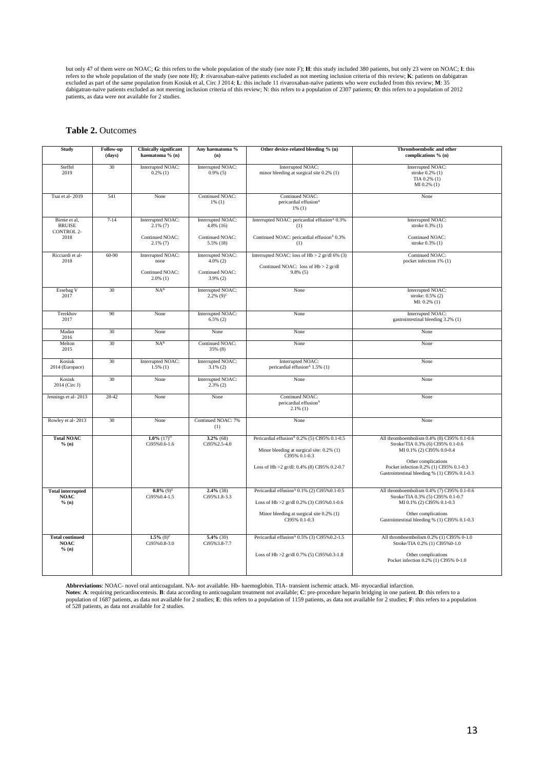but only 47 of them were on NOAC; **G**: this refers to the whole population of the study (see note F); **H**: this study included 380 patients, but only 23 were on NOAC; **I**: this refers to the whole population of the study (see note H); J: rivaroxaban-naïve patients excluded as not meeting inclusion criteria of this review; K: patients on dabigatran excluded as part of the same population from Kosi patients, as data were not available for 2 studies.

#### **Table 2.** Outcomes

| Study                                                       | Follow-up<br>(days) | <b>Clinically significant</b><br>haematoma % (n)                   | Any haematoma %<br>(n)                                             | Other device-related bleeding % (n)                                                                                                                                     | Thromboembolic and other<br>complications % (n)                                                                                                                                                                                 |
|-------------------------------------------------------------|---------------------|--------------------------------------------------------------------|--------------------------------------------------------------------|-------------------------------------------------------------------------------------------------------------------------------------------------------------------------|---------------------------------------------------------------------------------------------------------------------------------------------------------------------------------------------------------------------------------|
| Steffel<br>2019                                             | 30                  | Interrupted NOAC:<br>$0.2\%$ (1)                                   | Interrupted NOAC:<br>$0.9\%$ (5)                                   | Interrupted NOAC:<br>minor bleeding at surgical site 0.2% (1)                                                                                                           | Interrupted NOAC:<br>stroke 0.2% (1)<br>TIA 0.2% (1)<br>$MI$ 0.2% (1)                                                                                                                                                           |
| Tsai et al-2019                                             | 541                 | None                                                               | Continued NOAC:<br>$1\%$ (1)                                       | Continued NOAC:<br>pericardial effusion <sup>A</sup><br>$1\%$ (1)                                                                                                       | None                                                                                                                                                                                                                            |
| Birnie et al.<br><b>BRUISE</b><br><b>CONTROL 2-</b><br>2018 | $7 - 14$            | Interrupted NOAC:<br>$2.1\%$ (7)<br>Continued NOAC:<br>$2.1\%$ (7) | Interrupted NOAC:<br>$4.8\%$ (16)<br>Continued NOAC:<br>5.5% (18)  | Interrupted NOAC: pericardial effusion <sup>A</sup> 0.3%<br>(1)<br>Continued NOAC: pericardial effusion <sup>4</sup> 0.3%<br>(1)                                        | Interrupted NOAC:<br>stroke 0.3% (1)<br>Continued NOAC:<br>stroke 0.3% (1)                                                                                                                                                      |
| Ricciardi et al-<br>2018                                    | $60 - 90$           | Interrupted NOAC:<br>none<br>Continued NOAC:<br>$2.0\%$ (1)        | Interrupted NOAC:<br>$4.0\%$ (2)<br>Continued NOAC:<br>$3.9\%$ (2) | Interrupted NOAC: loss of $Hb > 2$ gr/dl 6% (3)<br>Continued NOAC: loss of Hb > 2 gr/dl<br>$9.8\%$ (5)                                                                  | Continued NOAC:<br>pocket infection 1% (1)                                                                                                                                                                                      |
| Essebag V<br>2017                                           | 30                  | NA <sup>B</sup>                                                    | Interrupted NOAC:<br>$2.2\%$ (9) <sup>c</sup>                      | None                                                                                                                                                                    | Interrupted NOAC:<br>stroke: 0.5% (2)<br>$MI: 0.2\%$ (1)                                                                                                                                                                        |
| Terekhov<br>2017                                            | 90                  | None                                                               | Interrupted NOAC:<br>$6.5\%$ (2)                                   | None                                                                                                                                                                    | Interrupted NOAC:<br>gastrointestinal bleeding 3.2% (1)                                                                                                                                                                         |
| Madan<br>2016                                               | 30                  | None                                                               | None                                                               | None                                                                                                                                                                    | None                                                                                                                                                                                                                            |
| Melton<br>2015                                              | 30                  | NA <sup>B</sup>                                                    | Continued NOAC:<br>35% (8)                                         | None                                                                                                                                                                    | None                                                                                                                                                                                                                            |
| Kosiuk<br>2014 (Europace)                                   | 30                  | Interrupted NOAC:<br>$1.5\%$ (1)                                   | Interrupted NOAC:<br>$3.1\%$ (2)                                   | Interrupted NOAC:<br>pericardial effusion <sup>4</sup> 1.5% (1)                                                                                                         | None                                                                                                                                                                                                                            |
| Kosiuk<br>2014 (Circ J)                                     | 30                  | None                                                               | Interrupted NOAC:<br>$2.3\%$ (2)                                   | None                                                                                                                                                                    | None                                                                                                                                                                                                                            |
| Jennings et al-2013                                         | 28-42               | None                                                               | None                                                               | Continued NOAC:<br>pericardial effusion <sup>A</sup><br>$2.1\%$ (1)                                                                                                     | None                                                                                                                                                                                                                            |
| Rowley et al-2013                                           | 30                  | None                                                               | Continued NOAC: 7%<br>(1)                                          | None                                                                                                                                                                    | None                                                                                                                                                                                                                            |
| <b>Total NOAC</b><br>% (n)                                  |                     | $1.0\%$ (17) <sup>D</sup><br>Ci95%0.6-1.6                          | $3.2\%$ (68)<br>Ci95%2.5-4.0                                       | Pericardial effusion <sup>A</sup> 0.2% (5) CI95% 0.1-0.5<br>Minor bleeding at surgical site: 0.2% (1)<br>CI95% 0.1-0.3<br>Loss of Hb >2 gr/dl: 0.4% (8) CI95% 0.2-0.7   | All thromboembolism 0.4% (8) CI95% 0.1-0.6<br>Stroke/TIA 0.3% (6) CI95% 0.1-0.6<br>MI 0.1% (2) CI95% 0.0-0.4<br>Other complications<br>Pocket infection 0.2% (1) CI95% 0.1-0.3<br>Gastrointestinal bleeding % (1) CI95% 0.1-0.3 |
| <b>Total interrupted</b><br><b>NOAC</b><br>% (n)            |                     | $0.8\%$ (9) <sup>E</sup><br>Ci95%0.4-1.5                           | $2.4\%$ (38)<br>Ci95%1.8-3.3                                       | Pericardial effusion <sup>4</sup> $0.1\%$ (2) Ci95% $0.1-0.5$<br>Loss of Hb >2 gr/dl 0.2% (3) Ci95%0.1-0.6<br>Minor bleeding at surgical site 0.2% (1)<br>CI95% 0.1-0.3 | All thromboembolism 0.4% (7) CI95% 0.1-0.6<br>Stroke/TIA 0.3% (5) CI95% 0.1-0.7<br>MI 0.1% (2) CI95% 0.1-0.3<br>Other complications<br>Gastrointestinal bleeding % (1) CI95% 0.1-0.3                                            |
| <b>Total continued</b><br><b>NOAC</b><br>% (n)              |                     | $1.5\%$ (8) <sup>F</sup><br>Ci95%0.8-3.0                           | $5.4\%$ (30)<br>Ci95%3.8-7.7                                       | Pericardial effusion <sup>A</sup> 0.5% (3) Ci95%0.2-1.5<br>Loss of Hb $>2$ gr/dl 0.7% (5) Ci95%0.3-1.8                                                                  | All thromboembolism 0.2% (1) CI95% 0-1.0<br>Stroke/TIA 0.2% (1) CI95%0-1.0<br>Other complications<br>Pocket infection 0.2% (1) CI95% 0-1.0                                                                                      |

Abbreviations: NOAC- novel oral anticoagulant. NA- not available. Hb- haemoglobin. TIA- transient ischemic attack. MI- myocardial infarction.<br>Notes: A: requiring pericardiocentesis. B: data according to anticoagulant treat population of 1687 patients, as data not available for 2 studies; E: this refers to a population of 1159 patients, as data not available for 2 studies; F: this refers to a population<br>of 528 patients, as data not available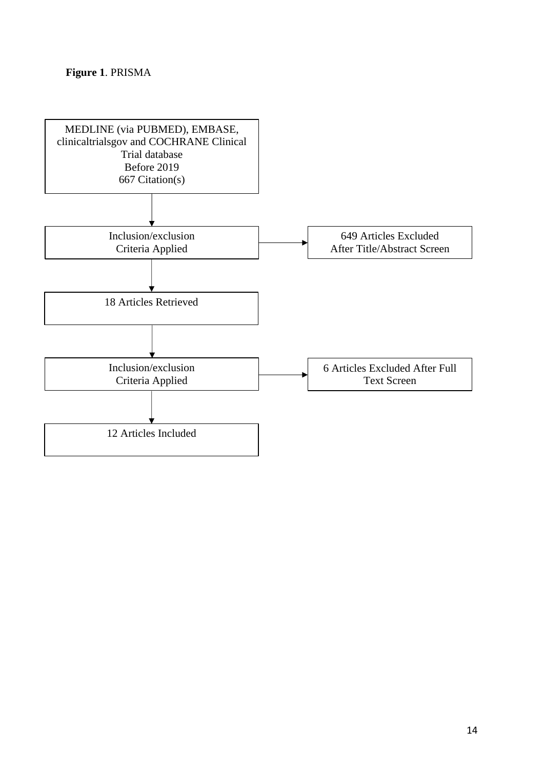# **Figure 1**. PRISMA

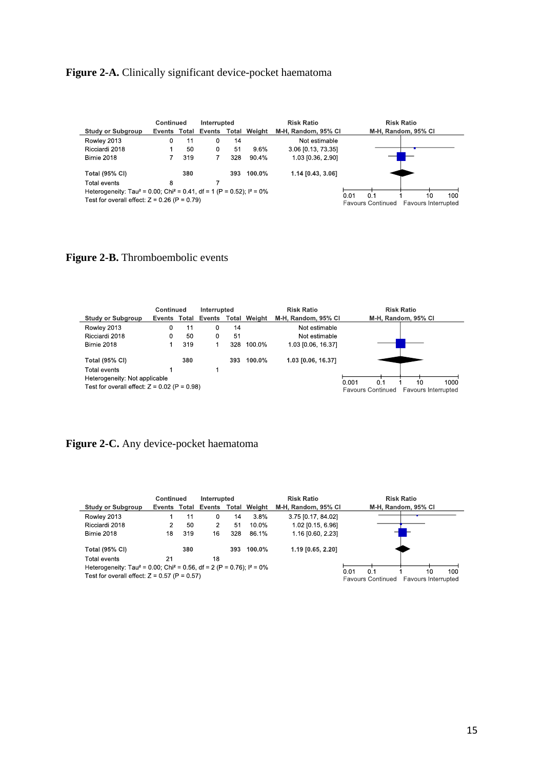# Figure 2-A. Clinically significant device-pocket haematoma

| <b>Continued</b>                                                                                |              |     | Interrupted |     |                     | <b>Risk Ratio</b>                                      | <b>Risk Ratio</b>   |
|-------------------------------------------------------------------------------------------------|--------------|-----|-------------|-----|---------------------|--------------------------------------------------------|---------------------|
| <b>Study or Subgroup</b>                                                                        | Events Total |     | Events      |     | <b>Total Weight</b> | M-H, Random, 95% CI                                    | M-H, Random, 95% CI |
| Rowley 2013                                                                                     | 0            |     | 0           | 14  |                     | Not estimable                                          |                     |
| Ricciardi 2018                                                                                  | 50<br>0      |     |             | 51  | 9.6%                | 3.06 [0.13, 73.35]                                     |                     |
| Birnie 2018                                                                                     |              | 319 |             | 328 | 90.4%               | 1.03 [0.36, 2.90]                                      |                     |
| <b>Total (95% CI)</b><br>380                                                                    |              |     |             | 393 | $100.0\%$           | 1.14 [0.43, 3.06]                                      |                     |
| Total events                                                                                    | 8            |     |             |     |                     |                                                        |                     |
| Heterogeneity: Tau <sup>2</sup> = 0.00; Chi <sup>2</sup> = 0.41, df = 1 (P = 0.52); $I^2 = 0\%$ |              |     |             |     |                     | 100<br>0.01<br>0.1<br>10                               |                     |
| Test for overall effect: $Z = 0.26$ (P = 0.79)                                                  |              |     |             |     |                     | <b>Favours Continued</b><br><b>Favours Interrupted</b> |                     |

# Figure 2-B. Thromboembolic events

| Continued                                      |              |     | Interrupted |       |           | <b>Risk Ratio</b>   | <b>Risk Ratio</b>                                                             |  |  |  |
|------------------------------------------------|--------------|-----|-------------|-------|-----------|---------------------|-------------------------------------------------------------------------------|--|--|--|
| <b>Study or Subgroup</b>                       | Events Total |     | Events      | Total | Weight    | M-H. Random, 95% CI | M-H, Random, 95% CI                                                           |  |  |  |
| Rowley 2013                                    | 0            |     | 0           | 14    |           | Not estimable       |                                                                               |  |  |  |
| Ricciardi 2018                                 |              | 50  | 0           | 51    |           | Not estimable       |                                                                               |  |  |  |
| Birnie 2018                                    |              | 319 |             | 328   | 100.0%    | 1.03 [0.06, 16.37]  |                                                                               |  |  |  |
| <b>Total (95% CI)</b>                          |              | 380 |             | 393   | $100.0\%$ | 1.03 [0.06, 16.37]  |                                                                               |  |  |  |
| Total events                                   |              |     |             |       |           |                     |                                                                               |  |  |  |
| Heterogeneity: Not applicable                  |              |     |             |       |           |                     |                                                                               |  |  |  |
| Test for overall effect: $Z = 0.02$ (P = 0.98) |              |     |             |       |           |                     | 0.001<br>1000<br>0.1<br>10<br><b>Favours Continued</b><br>Favours Interrupted |  |  |  |

# **Figure 2-C.** Any device-pocket haematoma

|                                                                                                                                                   | Continued              | Interrupted |        |                     | <b>Risk Ratio</b>                                                                  | <b>Risk Ratio</b> |
|---------------------------------------------------------------------------------------------------------------------------------------------------|------------------------|-------------|--------|---------------------|------------------------------------------------------------------------------------|-------------------|
| <b>Study or Subgroup</b>                                                                                                                          | Events<br>Events Total | Total       | Weight | M-H, Random, 95% CI | M-H, Random, 95% CI                                                                |                   |
| Rowley 2013                                                                                                                                       |                        | 0           | 14     | 3.8%                | 3.75 [0.17, 84.02]                                                                 |                   |
| Ricciardi 2018                                                                                                                                    | 2                      | 50<br>2     | 51     | $10.0\%$            | 1.02 [0.15, 6.96]                                                                  |                   |
| Birnie 2018                                                                                                                                       | 18                     | 16<br>319   | 328    | 86.1%               | 1.16 [0.60, 2.23]                                                                  |                   |
| <b>Total (95% CI)</b>                                                                                                                             |                        | 380         |        | 393 100.0%          | 1.19 [0.65, 2.20]                                                                  |                   |
| Total events                                                                                                                                      | 21                     | 18          |        |                     |                                                                                    |                   |
| Heterogeneity: Tau <sup>2</sup> = 0.00; Chi <sup>2</sup> = 0.56, df = 2 (P = 0.76); $I^2 = 0\%$<br>Test for overall effect: $Z = 0.57$ (P = 0.57) |                        |             |        |                     | 100<br>0.01<br>0.1<br>10<br><b>Favours Continued</b><br><b>Favours Interrupted</b> |                   |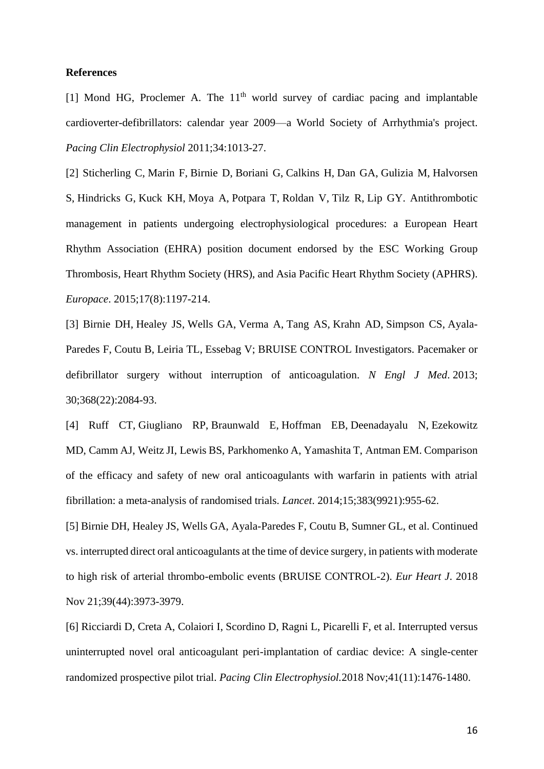# **References**

[1] Mond HG, Proclemer A. The  $11<sup>th</sup>$  world survey of cardiac pacing and implantable cardioverter-defibrillators: calendar year 2009—a World Society of Arrhythmia's project. *Pacing Clin Electrophysiol* 2011;34:1013-27.

[2] [Sticherling C,](https://www.ncbi.nlm.nih.gov/pubmed/?term=Sticherling%20C%5BAuthor%5D&cauthor=true&cauthor_uid=26105732) [Marin F,](https://www.ncbi.nlm.nih.gov/pubmed/?term=Marin%20F%5BAuthor%5D&cauthor=true&cauthor_uid=26105732) [Birnie D,](https://www.ncbi.nlm.nih.gov/pubmed/?term=Birnie%20D%5BAuthor%5D&cauthor=true&cauthor_uid=26105732) [Boriani G,](https://www.ncbi.nlm.nih.gov/pubmed/?term=Boriani%20G%5BAuthor%5D&cauthor=true&cauthor_uid=26105732) [Calkins H,](https://www.ncbi.nlm.nih.gov/pubmed/?term=Calkins%20H%5BAuthor%5D&cauthor=true&cauthor_uid=26105732) [Dan GA,](https://www.ncbi.nlm.nih.gov/pubmed/?term=Dan%20GA%5BAuthor%5D&cauthor=true&cauthor_uid=26105732) [Gulizia M,](https://www.ncbi.nlm.nih.gov/pubmed/?term=Gulizia%20M%5BAuthor%5D&cauthor=true&cauthor_uid=26105732) [Halvorsen](https://www.ncbi.nlm.nih.gov/pubmed/?term=Halvorsen%20S%5BAuthor%5D&cauthor=true&cauthor_uid=26105732)  [S,](https://www.ncbi.nlm.nih.gov/pubmed/?term=Halvorsen%20S%5BAuthor%5D&cauthor=true&cauthor_uid=26105732) [Hindricks G,](https://www.ncbi.nlm.nih.gov/pubmed/?term=Hindricks%20G%5BAuthor%5D&cauthor=true&cauthor_uid=26105732) [Kuck KH,](https://www.ncbi.nlm.nih.gov/pubmed/?term=Kuck%20KH%5BAuthor%5D&cauthor=true&cauthor_uid=26105732) [Moya A,](https://www.ncbi.nlm.nih.gov/pubmed/?term=Moya%20A%5BAuthor%5D&cauthor=true&cauthor_uid=26105732) [Potpara T,](https://www.ncbi.nlm.nih.gov/pubmed/?term=Potpara%20T%5BAuthor%5D&cauthor=true&cauthor_uid=26105732) [Roldan V,](https://www.ncbi.nlm.nih.gov/pubmed/?term=Roldan%20V%5BAuthor%5D&cauthor=true&cauthor_uid=26105732) [Tilz R,](https://www.ncbi.nlm.nih.gov/pubmed/?term=Tilz%20R%5BAuthor%5D&cauthor=true&cauthor_uid=26105732) [Lip GY.](https://www.ncbi.nlm.nih.gov/pubmed/?term=Lip%20GY%5BAuthor%5D&cauthor=true&cauthor_uid=26105732) Antithrombotic management in patients undergoing electrophysiological procedures: a European Heart Rhythm Association (EHRA) position document endorsed by the ESC Working Group Thrombosis, Heart Rhythm Society (HRS), and Asia Pacific Heart Rhythm Society (APHRS). *[Europace](https://www.ncbi.nlm.nih.gov/pubmed/26105732)*. 2015;17(8):1197-214.

[3] [Birnie DH,](https://www.ncbi.nlm.nih.gov/pubmed/?term=Birnie%20DH%5BAuthor%5D&cauthor=true&cauthor_uid=23659733) [Healey JS,](https://www.ncbi.nlm.nih.gov/pubmed/?term=Healey%20JS%5BAuthor%5D&cauthor=true&cauthor_uid=23659733) [Wells GA,](https://www.ncbi.nlm.nih.gov/pubmed/?term=Wells%20GA%5BAuthor%5D&cauthor=true&cauthor_uid=23659733) [Verma A,](https://www.ncbi.nlm.nih.gov/pubmed/?term=Verma%20A%5BAuthor%5D&cauthor=true&cauthor_uid=23659733) [Tang AS,](https://www.ncbi.nlm.nih.gov/pubmed/?term=Tang%20AS%5BAuthor%5D&cauthor=true&cauthor_uid=23659733) [Krahn AD,](https://www.ncbi.nlm.nih.gov/pubmed/?term=Krahn%20AD%5BAuthor%5D&cauthor=true&cauthor_uid=23659733) [Simpson CS,](https://www.ncbi.nlm.nih.gov/pubmed/?term=Simpson%20CS%5BAuthor%5D&cauthor=true&cauthor_uid=23659733) [Ayala-](https://www.ncbi.nlm.nih.gov/pubmed/?term=Ayala-Paredes%20F%5BAuthor%5D&cauthor=true&cauthor_uid=23659733)[Paredes F,](https://www.ncbi.nlm.nih.gov/pubmed/?term=Ayala-Paredes%20F%5BAuthor%5D&cauthor=true&cauthor_uid=23659733) [Coutu B,](https://www.ncbi.nlm.nih.gov/pubmed/?term=Coutu%20B%5BAuthor%5D&cauthor=true&cauthor_uid=23659733) [Leiria TL,](https://www.ncbi.nlm.nih.gov/pubmed/?term=Leiria%20TL%5BAuthor%5D&cauthor=true&cauthor_uid=23659733) [Essebag V;](https://www.ncbi.nlm.nih.gov/pubmed/?term=Essebag%20V%5BAuthor%5D&cauthor=true&cauthor_uid=23659733) [BRUISE CONTROL Investigators.](https://www.ncbi.nlm.nih.gov/pubmed/?term=BRUISE%20CONTROL%20Investigators%5BCorporate%20Author%5D) Pacemaker or defibrillator surgery without interruption of anticoagulation. *[N Engl J Med](https://www.ncbi.nlm.nih.gov/pubmed/23659733)*. 2013; 30;368(22):2084-93.

[4] [Ruff CT,](https://www.ncbi.nlm.nih.gov/pubmed/?term=Ruff%20CT%5BAuthor%5D&cauthor=true&cauthor_uid=24315724) [Giugliano RP,](https://www.ncbi.nlm.nih.gov/pubmed/?term=Giugliano%20RP%5BAuthor%5D&cauthor=true&cauthor_uid=24315724) [Braunwald E,](https://www.ncbi.nlm.nih.gov/pubmed/?term=Braunwald%20E%5BAuthor%5D&cauthor=true&cauthor_uid=24315724) [Hoffman EB,](https://www.ncbi.nlm.nih.gov/pubmed/?term=Hoffman%20EB%5BAuthor%5D&cauthor=true&cauthor_uid=24315724) [Deenadayalu N,](https://www.ncbi.nlm.nih.gov/pubmed/?term=Deenadayalu%20N%5BAuthor%5D&cauthor=true&cauthor_uid=24315724) [Ezekowitz](https://www.ncbi.nlm.nih.gov/pubmed/?term=Ezekowitz%20MD%5BAuthor%5D&cauthor=true&cauthor_uid=24315724)  [MD,](https://www.ncbi.nlm.nih.gov/pubmed/?term=Ezekowitz%20MD%5BAuthor%5D&cauthor=true&cauthor_uid=24315724) [Camm AJ,](https://www.ncbi.nlm.nih.gov/pubmed/?term=Camm%20AJ%5BAuthor%5D&cauthor=true&cauthor_uid=24315724) [Weitz JI,](https://www.ncbi.nlm.nih.gov/pubmed/?term=Weitz%20JI%5BAuthor%5D&cauthor=true&cauthor_uid=24315724) [Lewis BS,](https://www.ncbi.nlm.nih.gov/pubmed/?term=Lewis%20BS%5BAuthor%5D&cauthor=true&cauthor_uid=24315724) [Parkhomenko A,](https://www.ncbi.nlm.nih.gov/pubmed/?term=Parkhomenko%20A%5BAuthor%5D&cauthor=true&cauthor_uid=24315724) [Yamashita T,](https://www.ncbi.nlm.nih.gov/pubmed/?term=Yamashita%20T%5BAuthor%5D&cauthor=true&cauthor_uid=24315724) [Antman EM.](https://www.ncbi.nlm.nih.gov/pubmed/?term=Antman%20EM%5BAuthor%5D&cauthor=true&cauthor_uid=24315724) Comparison of the efficacy and safety of new oral anticoagulants with warfarin in patients with atrial fibrillation: a meta-analysis of randomised trials. *[Lancet](https://www.ncbi.nlm.nih.gov/pubmed/24315724)*. 2014;15;383(9921):955-62.

[5] [Birnie DH,](https://www.ncbi.nlm.nih.gov/pubmed/?term=Birnie%20DH%5BAuthor%5D&cauthor=true&cauthor_uid=30462279) [Healey JS,](https://www.ncbi.nlm.nih.gov/pubmed/?term=Healey%20JS%5BAuthor%5D&cauthor=true&cauthor_uid=30462279) [Wells GA,](https://www.ncbi.nlm.nih.gov/pubmed/?term=Wells%20GA%5BAuthor%5D&cauthor=true&cauthor_uid=30462279) [Ayala-Paredes F,](https://www.ncbi.nlm.nih.gov/pubmed/?term=Ayala-Paredes%20F%5BAuthor%5D&cauthor=true&cauthor_uid=30462279) [Coutu B,](https://www.ncbi.nlm.nih.gov/pubmed/?term=Coutu%20B%5BAuthor%5D&cauthor=true&cauthor_uid=30462279) [Sumner GL,](https://www.ncbi.nlm.nih.gov/pubmed/?term=Sumner%20GL%5BAuthor%5D&cauthor=true&cauthor_uid=30462279) et al. Continued vs. interrupted direct oral anticoagulants at the time of device surgery, in patients with moderate to high risk of arterial thrombo-embolic events (BRUISE CONTROL-2). *[Eur Heart J](https://www.ncbi.nlm.nih.gov/pubmed/?term=Continued+vs.+interrupted+direct+oral+anticoagulants+at+the+time+of+device+surgery%2C+in+patients+with+moderate+to+high+risk+of+arterial+thrombo-embolic+events+(BRUISE+CONTROL-2).)*. 2018 Nov 21;39(44):3973-3979.

[6] [Ricciardi D,](https://www.ncbi.nlm.nih.gov/pubmed/?term=Ricciardi%20D%5BAuthor%5D&cauthor=true&cauthor_uid=30132926) [Creta A,](https://www.ncbi.nlm.nih.gov/pubmed/?term=Creta%20A%5BAuthor%5D&cauthor=true&cauthor_uid=30132926) [Colaiori I,](https://www.ncbi.nlm.nih.gov/pubmed/?term=Colaiori%20I%5BAuthor%5D&cauthor=true&cauthor_uid=30132926) [Scordino D,](https://www.ncbi.nlm.nih.gov/pubmed/?term=Scordino%20D%5BAuthor%5D&cauthor=true&cauthor_uid=30132926) [Ragni L,](https://www.ncbi.nlm.nih.gov/pubmed/?term=Ragni%20L%5BAuthor%5D&cauthor=true&cauthor_uid=30132926) [Picarelli F,](https://www.ncbi.nlm.nih.gov/pubmed/?term=Picarelli%20F%5BAuthor%5D&cauthor=true&cauthor_uid=30132926) et al. Interrupted versus uninterrupted novel oral anticoagulant peri-implantation of cardiac device: A single-center randomized prospective pilot trial. *[Pacing Clin Electrophysiol.](https://www.ncbi.nlm.nih.gov/pubmed/30132926)*2018 Nov;41(11):1476-1480.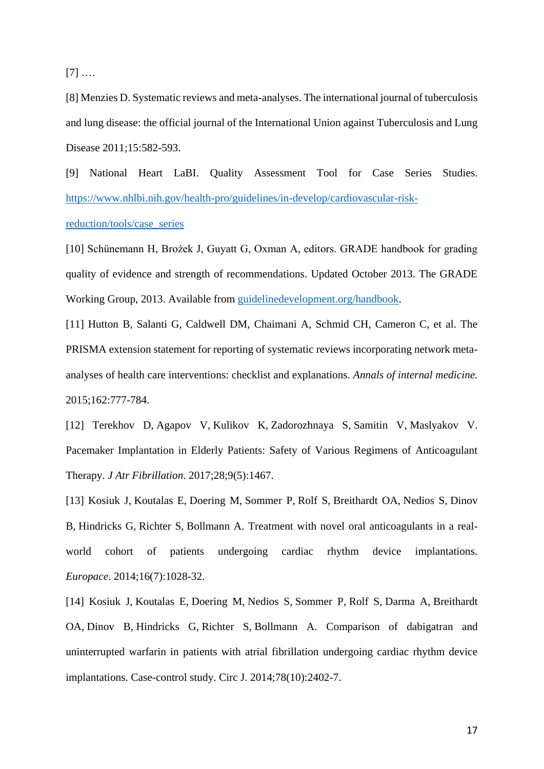[7] ….

[8] Menzies D. Systematic reviews and meta-analyses. The international journal of tuberculosis and lung disease: the official journal of the International Union against Tuberculosis and Lung Disease 2011;15:582-593.

[9] National Heart LaBI. Quality Assessment Tool for Case Series Studies. [https://www.nhlbi.nih.gov/health-pro/guidelines/in-develop/cardiovascular-risk](https://www.nhlbi.nih.gov/health-pro/guidelines/in-develop/cardiovascular-risk-reduction/tools/case_series)[reduction/tools/case\\_series](https://www.nhlbi.nih.gov/health-pro/guidelines/in-develop/cardiovascular-risk-reduction/tools/case_series)

[10] Schünemann H, Brożek J, Guyatt G, Oxman A, editors. GRADE handbook for grading quality of evidence and strength of recommendations. Updated October 2013. The GRADE Working Group, 2013. Available from [guidelinedevelopment.org/handbook.](https://gradepro.org/cite/guidelinedevelopment.org/handbook)

[11] Hutton B, Salanti G, Caldwell DM, Chaimani A, Schmid CH, Cameron C, et al. The PRISMA extension statement for reporting of systematic reviews incorporating network metaanalyses of health care interventions: checklist and explanations. *Annals of internal medicine.* 2015;162:777-784.

[12] [Terekhov D,](https://www.ncbi.nlm.nih.gov/pubmed/?term=Terekhov%20D%5BAuthor%5D&cauthor=true&cauthor_uid=29250265) [Agapov V,](https://www.ncbi.nlm.nih.gov/pubmed/?term=Agapov%20V%5BAuthor%5D&cauthor=true&cauthor_uid=29250265) [Kulikov K,](https://www.ncbi.nlm.nih.gov/pubmed/?term=Kulikov%20K%5BAuthor%5D&cauthor=true&cauthor_uid=29250265) [Zadorozhnaya S,](https://www.ncbi.nlm.nih.gov/pubmed/?term=Zadorozhnaya%20S%5BAuthor%5D&cauthor=true&cauthor_uid=29250265) [Samitin V,](https://www.ncbi.nlm.nih.gov/pubmed/?term=Samitin%20V%5BAuthor%5D&cauthor=true&cauthor_uid=29250265) [Maslyakov V.](https://www.ncbi.nlm.nih.gov/pubmed/?term=Maslyakov%20V%5BAuthor%5D&cauthor=true&cauthor_uid=29250265) Pacemaker Implantation in Elderly Patients: Safety of Various Regimens of Anticoagulant Therapy. *[J Atr Fibrillation](https://www.ncbi.nlm.nih.gov/pubmed/29250265)*. 2017;28;9(5):1467.

[13] [Kosiuk J,](https://www.ncbi.nlm.nih.gov/pubmed/?term=Kosiuk%20J%5BAuthor%5D&cauthor=true&cauthor_uid=24489073) [Koutalas E,](https://www.ncbi.nlm.nih.gov/pubmed/?term=Koutalas%20E%5BAuthor%5D&cauthor=true&cauthor_uid=24489073) [Doering M,](https://www.ncbi.nlm.nih.gov/pubmed/?term=Doering%20M%5BAuthor%5D&cauthor=true&cauthor_uid=24489073) [Sommer P,](https://www.ncbi.nlm.nih.gov/pubmed/?term=Sommer%20P%5BAuthor%5D&cauthor=true&cauthor_uid=24489073) [Rolf S,](https://www.ncbi.nlm.nih.gov/pubmed/?term=Rolf%20S%5BAuthor%5D&cauthor=true&cauthor_uid=24489073) [Breithardt OA,](https://www.ncbi.nlm.nih.gov/pubmed/?term=Breithardt%20OA%5BAuthor%5D&cauthor=true&cauthor_uid=24489073) [Nedios S,](https://www.ncbi.nlm.nih.gov/pubmed/?term=Nedios%20S%5BAuthor%5D&cauthor=true&cauthor_uid=24489073) [Dinov](https://www.ncbi.nlm.nih.gov/pubmed/?term=Dinov%20B%5BAuthor%5D&cauthor=true&cauthor_uid=24489073)  [B,](https://www.ncbi.nlm.nih.gov/pubmed/?term=Dinov%20B%5BAuthor%5D&cauthor=true&cauthor_uid=24489073) [Hindricks G,](https://www.ncbi.nlm.nih.gov/pubmed/?term=Hindricks%20G%5BAuthor%5D&cauthor=true&cauthor_uid=24489073) [Richter S,](https://www.ncbi.nlm.nih.gov/pubmed/?term=Richter%20S%5BAuthor%5D&cauthor=true&cauthor_uid=24489073) [Bollmann A.](https://www.ncbi.nlm.nih.gov/pubmed/?term=Bollmann%20A%5BAuthor%5D&cauthor=true&cauthor_uid=24489073) Treatment with novel oral anticoagulants in a realworld cohort of patients undergoing cardiac rhythm device implantations. *[Europace](https://www.ncbi.nlm.nih.gov/pubmed/24489073)*. 2014;16(7):1028-32.

[14] [Kosiuk J,](https://www.ncbi.nlm.nih.gov/pubmed/?term=Kosiuk%20J%5BAuthor%5D&cauthor=true&cauthor_uid=25253506) [Koutalas E,](https://www.ncbi.nlm.nih.gov/pubmed/?term=Koutalas%20E%5BAuthor%5D&cauthor=true&cauthor_uid=25253506) [Doering M,](https://www.ncbi.nlm.nih.gov/pubmed/?term=Doering%20M%5BAuthor%5D&cauthor=true&cauthor_uid=25253506) [Nedios S,](https://www.ncbi.nlm.nih.gov/pubmed/?term=Nedios%20S%5BAuthor%5D&cauthor=true&cauthor_uid=25253506) [Sommer P,](https://www.ncbi.nlm.nih.gov/pubmed/?term=Sommer%20P%5BAuthor%5D&cauthor=true&cauthor_uid=25253506) [Rolf S,](https://www.ncbi.nlm.nih.gov/pubmed/?term=Rolf%20S%5BAuthor%5D&cauthor=true&cauthor_uid=25253506) [Darma A,](https://www.ncbi.nlm.nih.gov/pubmed/?term=Darma%20A%5BAuthor%5D&cauthor=true&cauthor_uid=25253506) [Breithardt](https://www.ncbi.nlm.nih.gov/pubmed/?term=Breithardt%20OA%5BAuthor%5D&cauthor=true&cauthor_uid=25253506)  [OA,](https://www.ncbi.nlm.nih.gov/pubmed/?term=Breithardt%20OA%5BAuthor%5D&cauthor=true&cauthor_uid=25253506) [Dinov B,](https://www.ncbi.nlm.nih.gov/pubmed/?term=Dinov%20B%5BAuthor%5D&cauthor=true&cauthor_uid=25253506) [Hindricks G,](https://www.ncbi.nlm.nih.gov/pubmed/?term=Hindricks%20G%5BAuthor%5D&cauthor=true&cauthor_uid=25253506) [Richter S,](https://www.ncbi.nlm.nih.gov/pubmed/?term=Richter%20S%5BAuthor%5D&cauthor=true&cauthor_uid=25253506) [Bollmann A.](https://www.ncbi.nlm.nih.gov/pubmed/?term=Bollmann%20A%5BAuthor%5D&cauthor=true&cauthor_uid=25253506) Comparison of dabigatran and uninterrupted warfarin in patients with atrial fibrillation undergoing cardiac rhythm device implantations. Case-control study. [Circ J.](https://www.ncbi.nlm.nih.gov/pubmed/25253506) 2014;78(10):2402-7.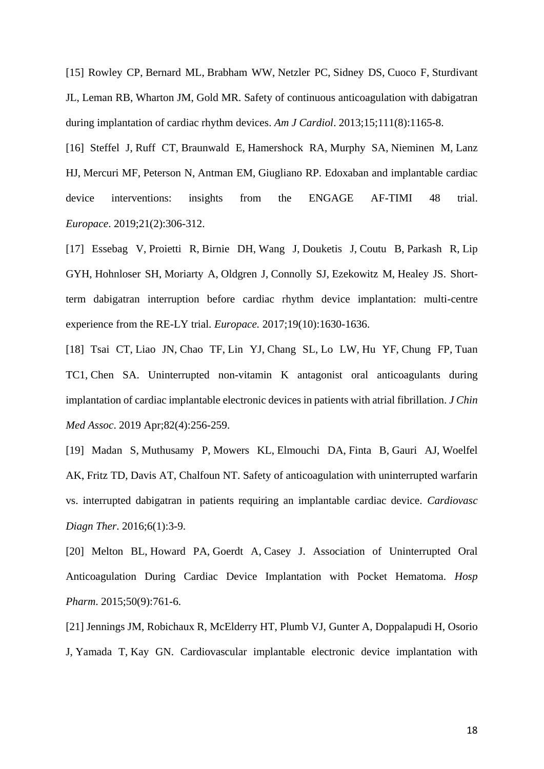[15] [Rowley CP,](https://www.ncbi.nlm.nih.gov/pubmed/?term=Rowley%20CP%5BAuthor%5D&cauthor=true&cauthor_uid=23360767) [Bernard ML,](https://www.ncbi.nlm.nih.gov/pubmed/?term=Bernard%20ML%5BAuthor%5D&cauthor=true&cauthor_uid=23360767) [Brabham WW,](https://www.ncbi.nlm.nih.gov/pubmed/?term=Brabham%20WW%5BAuthor%5D&cauthor=true&cauthor_uid=23360767) [Netzler PC,](https://www.ncbi.nlm.nih.gov/pubmed/?term=Netzler%20PC%5BAuthor%5D&cauthor=true&cauthor_uid=23360767) [Sidney DS,](https://www.ncbi.nlm.nih.gov/pubmed/?term=Sidney%20DS%5BAuthor%5D&cauthor=true&cauthor_uid=23360767) [Cuoco F,](https://www.ncbi.nlm.nih.gov/pubmed/?term=Cuoco%20F%5BAuthor%5D&cauthor=true&cauthor_uid=23360767) [Sturdivant](https://www.ncbi.nlm.nih.gov/pubmed/?term=Sturdivant%20JL%5BAuthor%5D&cauthor=true&cauthor_uid=23360767)  [JL,](https://www.ncbi.nlm.nih.gov/pubmed/?term=Sturdivant%20JL%5BAuthor%5D&cauthor=true&cauthor_uid=23360767) [Leman RB,](https://www.ncbi.nlm.nih.gov/pubmed/?term=Leman%20RB%5BAuthor%5D&cauthor=true&cauthor_uid=23360767) [Wharton JM,](https://www.ncbi.nlm.nih.gov/pubmed/?term=Wharton%20JM%5BAuthor%5D&cauthor=true&cauthor_uid=23360767) [Gold MR.](https://www.ncbi.nlm.nih.gov/pubmed/?term=Gold%20MR%5BAuthor%5D&cauthor=true&cauthor_uid=23360767) Safety of continuous anticoagulation with dabigatran during implantation of cardiac rhythm devices. *[Am J Cardiol](https://www.ncbi.nlm.nih.gov/pubmed/23360767)*. 2013;15;111(8):1165-8.

[16] [Steffel J,](https://www.ncbi.nlm.nih.gov/pubmed/?term=Steffel%20J%5BAuthor%5D&cauthor=true&cauthor_uid=30462220) [Ruff CT,](https://www.ncbi.nlm.nih.gov/pubmed/?term=Ruff%20CT%5BAuthor%5D&cauthor=true&cauthor_uid=30462220) [Braunwald E,](https://www.ncbi.nlm.nih.gov/pubmed/?term=Braunwald%20E%5BAuthor%5D&cauthor=true&cauthor_uid=30462220) [Hamershock RA,](https://www.ncbi.nlm.nih.gov/pubmed/?term=Hamershock%20RA%5BAuthor%5D&cauthor=true&cauthor_uid=30462220) [Murphy SA,](https://www.ncbi.nlm.nih.gov/pubmed/?term=Murphy%20SA%5BAuthor%5D&cauthor=true&cauthor_uid=30462220) [Nieminen M,](https://www.ncbi.nlm.nih.gov/pubmed/?term=Nieminen%20M%5BAuthor%5D&cauthor=true&cauthor_uid=30462220) [Lanz](https://www.ncbi.nlm.nih.gov/pubmed/?term=Lanz%20HJ%5BAuthor%5D&cauthor=true&cauthor_uid=30462220)  [HJ,](https://www.ncbi.nlm.nih.gov/pubmed/?term=Lanz%20HJ%5BAuthor%5D&cauthor=true&cauthor_uid=30462220) [Mercuri MF,](https://www.ncbi.nlm.nih.gov/pubmed/?term=Mercuri%20MF%5BAuthor%5D&cauthor=true&cauthor_uid=30462220) [Peterson N,](https://www.ncbi.nlm.nih.gov/pubmed/?term=Peterson%20N%5BAuthor%5D&cauthor=true&cauthor_uid=30462220) [Antman EM,](https://www.ncbi.nlm.nih.gov/pubmed/?term=Antman%20EM%5BAuthor%5D&cauthor=true&cauthor_uid=30462220) [Giugliano RP.](https://www.ncbi.nlm.nih.gov/pubmed/?term=Giugliano%20RP%5BAuthor%5D&cauthor=true&cauthor_uid=30462220) Edoxaban and implantable cardiac device interventions: insights from the ENGAGE AF-TIMI 48 trial. *[Europace](https://www.ncbi.nlm.nih.gov/pubmed/30462220)*. 2019;21(2):306-312.

[17] [Essebag V,](https://www.ncbi.nlm.nih.gov/pubmed/?term=Essebag%20V%5BAuthor%5D&cauthor=true&cauthor_uid=28339794) [Proietti R,](https://www.ncbi.nlm.nih.gov/pubmed/?term=Proietti%20R%5BAuthor%5D&cauthor=true&cauthor_uid=28339794) [Birnie DH,](https://www.ncbi.nlm.nih.gov/pubmed/?term=Birnie%20DH%5BAuthor%5D&cauthor=true&cauthor_uid=28339794) [Wang J,](https://www.ncbi.nlm.nih.gov/pubmed/?term=Wang%20J%5BAuthor%5D&cauthor=true&cauthor_uid=28339794) [Douketis J,](https://www.ncbi.nlm.nih.gov/pubmed/?term=Douketis%20J%5BAuthor%5D&cauthor=true&cauthor_uid=28339794) [Coutu B,](https://www.ncbi.nlm.nih.gov/pubmed/?term=Coutu%20B%5BAuthor%5D&cauthor=true&cauthor_uid=28339794) [Parkash R,](https://www.ncbi.nlm.nih.gov/pubmed/?term=Parkash%20R%5BAuthor%5D&cauthor=true&cauthor_uid=28339794) [Lip](https://www.ncbi.nlm.nih.gov/pubmed/?term=Lip%20GYH%5BAuthor%5D&cauthor=true&cauthor_uid=28339794)  [GYH,](https://www.ncbi.nlm.nih.gov/pubmed/?term=Lip%20GYH%5BAuthor%5D&cauthor=true&cauthor_uid=28339794) [Hohnloser SH,](https://www.ncbi.nlm.nih.gov/pubmed/?term=Hohnloser%20SH%5BAuthor%5D&cauthor=true&cauthor_uid=28339794) [Moriarty A,](https://www.ncbi.nlm.nih.gov/pubmed/?term=Moriarty%20A%5BAuthor%5D&cauthor=true&cauthor_uid=28339794) [Oldgren J,](https://www.ncbi.nlm.nih.gov/pubmed/?term=Oldgren%20J%5BAuthor%5D&cauthor=true&cauthor_uid=28339794) [Connolly SJ,](https://www.ncbi.nlm.nih.gov/pubmed/?term=Connolly%20SJ%5BAuthor%5D&cauthor=true&cauthor_uid=28339794) [Ezekowitz M,](https://www.ncbi.nlm.nih.gov/pubmed/?term=Ezekowitz%20M%5BAuthor%5D&cauthor=true&cauthor_uid=28339794) [Healey JS.](https://www.ncbi.nlm.nih.gov/pubmed/?term=Healey%20JS%5BAuthor%5D&cauthor=true&cauthor_uid=28339794) Shortterm dabigatran interruption before cardiac rhythm device implantation: multi-centre experience from the RE-LY trial*. [Europace.](https://www.ncbi.nlm.nih.gov/pubmed/28339794)* 2017;19(10):1630-1636.

[18] [Tsai CT,](https://www.ncbi.nlm.nih.gov/pubmed/?term=Tsai%20CT%5BAuthor%5D&cauthor=true&cauthor_uid=30946706) [Liao JN,](https://www.ncbi.nlm.nih.gov/pubmed/?term=Liao%20JN%5BAuthor%5D&cauthor=true&cauthor_uid=30946706) [Chao TF,](https://www.ncbi.nlm.nih.gov/pubmed/?term=Chao%20TF%5BAuthor%5D&cauthor=true&cauthor_uid=30946706) [Lin YJ,](https://www.ncbi.nlm.nih.gov/pubmed/?term=Lin%20YJ%5BAuthor%5D&cauthor=true&cauthor_uid=30946706) [Chang SL,](https://www.ncbi.nlm.nih.gov/pubmed/?term=Chang%20SL%5BAuthor%5D&cauthor=true&cauthor_uid=30946706) [Lo LW,](https://www.ncbi.nlm.nih.gov/pubmed/?term=Lo%20LW%5BAuthor%5D&cauthor=true&cauthor_uid=30946706) [Hu YF,](https://www.ncbi.nlm.nih.gov/pubmed/?term=Hu%20YF%5BAuthor%5D&cauthor=true&cauthor_uid=30946706) [Chung FP,](https://www.ncbi.nlm.nih.gov/pubmed/?term=Chung%20FP%5BAuthor%5D&cauthor=true&cauthor_uid=30946706) [Tuan](https://www.ncbi.nlm.nih.gov/pubmed/?term=Tuan%20TC%5BAuthor%5D&cauthor=true&cauthor_uid=30946706)  [TC1](https://www.ncbi.nlm.nih.gov/pubmed/?term=Tuan%20TC%5BAuthor%5D&cauthor=true&cauthor_uid=30946706), [Chen SA.](https://www.ncbi.nlm.nih.gov/pubmed/?term=Chen%20SA%5BAuthor%5D&cauthor=true&cauthor_uid=30946706) Uninterrupted non-vitamin K antagonist oral anticoagulants during implantation of cardiac implantable electronic devices in patients with atrial fibrillation. *[J Chin](https://www.ncbi.nlm.nih.gov/pubmed/30946706)  [Med Assoc](https://www.ncbi.nlm.nih.gov/pubmed/30946706)*. 2019 Apr;82(4):256-259.

[19] [Madan S,](https://www.ncbi.nlm.nih.gov/pubmed/?term=Madan%20S%5BAuthor%5D&cauthor=true&cauthor_uid=26885486) [Muthusamy P,](https://www.ncbi.nlm.nih.gov/pubmed/?term=Muthusamy%20P%5BAuthor%5D&cauthor=true&cauthor_uid=26885486) [Mowers KL,](https://www.ncbi.nlm.nih.gov/pubmed/?term=Mowers%20KL%5BAuthor%5D&cauthor=true&cauthor_uid=26885486) [Elmouchi DA,](https://www.ncbi.nlm.nih.gov/pubmed/?term=Elmouchi%20DA%5BAuthor%5D&cauthor=true&cauthor_uid=26885486) [Finta B,](https://www.ncbi.nlm.nih.gov/pubmed/?term=Finta%20B%5BAuthor%5D&cauthor=true&cauthor_uid=26885486) [Gauri AJ,](https://www.ncbi.nlm.nih.gov/pubmed/?term=Gauri%20AJ%5BAuthor%5D&cauthor=true&cauthor_uid=26885486) [Woelfel](https://www.ncbi.nlm.nih.gov/pubmed/?term=Woelfel%20AK%5BAuthor%5D&cauthor=true&cauthor_uid=26885486)  [AK,](https://www.ncbi.nlm.nih.gov/pubmed/?term=Woelfel%20AK%5BAuthor%5D&cauthor=true&cauthor_uid=26885486) [Fritz TD,](https://www.ncbi.nlm.nih.gov/pubmed/?term=Fritz%20TD%5BAuthor%5D&cauthor=true&cauthor_uid=26885486) [Davis AT,](https://www.ncbi.nlm.nih.gov/pubmed/?term=Davis%20AT%5BAuthor%5D&cauthor=true&cauthor_uid=26885486) [Chalfoun NT.](https://www.ncbi.nlm.nih.gov/pubmed/?term=Chalfoun%20NT%5BAuthor%5D&cauthor=true&cauthor_uid=26885486) Safety of anticoagulation with uninterrupted warfarin vs. interrupted dabigatran in patients requiring an implantable cardiac device. *[Cardiovasc](https://www.ncbi.nlm.nih.gov/pubmed/26885486)  [Diagn Ther](https://www.ncbi.nlm.nih.gov/pubmed/26885486)*. 2016;6(1):3-9.

[20] [Melton BL,](https://www.ncbi.nlm.nih.gov/pubmed/?term=Melton%20BL%5BAuthor%5D&cauthor=true&cauthor_uid=26912915) [Howard PA,](https://www.ncbi.nlm.nih.gov/pubmed/?term=Howard%20PA%5BAuthor%5D&cauthor=true&cauthor_uid=26912915) [Goerdt A,](https://www.ncbi.nlm.nih.gov/pubmed/?term=Goerdt%20A%5BAuthor%5D&cauthor=true&cauthor_uid=26912915) [Casey J.](https://www.ncbi.nlm.nih.gov/pubmed/?term=Casey%20J%5BAuthor%5D&cauthor=true&cauthor_uid=26912915) Association of Uninterrupted Oral Anticoagulation During Cardiac Device Implantation with Pocket Hematoma. *[Hosp](https://www.ncbi.nlm.nih.gov/pubmed/26912915)  [Pharm](https://www.ncbi.nlm.nih.gov/pubmed/26912915)*. 2015;50(9):761-6.

[21] [Jennings JM,](https://www.ncbi.nlm.nih.gov/pubmed/?term=Jennings%20JM%5BAuthor%5D&cauthor=true&cauthor_uid=23889767) [Robichaux R,](https://www.ncbi.nlm.nih.gov/pubmed/?term=Robichaux%20R%5BAuthor%5D&cauthor=true&cauthor_uid=23889767) [McElderry HT,](https://www.ncbi.nlm.nih.gov/pubmed/?term=McElderry%20HT%5BAuthor%5D&cauthor=true&cauthor_uid=23889767) [Plumb VJ,](https://www.ncbi.nlm.nih.gov/pubmed/?term=Plumb%20VJ%5BAuthor%5D&cauthor=true&cauthor_uid=23889767) [Gunter A,](https://www.ncbi.nlm.nih.gov/pubmed/?term=Gunter%20A%5BAuthor%5D&cauthor=true&cauthor_uid=23889767) [Doppalapudi H,](https://www.ncbi.nlm.nih.gov/pubmed/?term=Doppalapudi%20H%5BAuthor%5D&cauthor=true&cauthor_uid=23889767) [Osorio](https://www.ncbi.nlm.nih.gov/pubmed/?term=Osorio%20J%5BAuthor%5D&cauthor=true&cauthor_uid=23889767)  [J,](https://www.ncbi.nlm.nih.gov/pubmed/?term=Osorio%20J%5BAuthor%5D&cauthor=true&cauthor_uid=23889767) [Yamada T,](https://www.ncbi.nlm.nih.gov/pubmed/?term=Yamada%20T%5BAuthor%5D&cauthor=true&cauthor_uid=23889767) [Kay GN.](https://www.ncbi.nlm.nih.gov/pubmed/?term=Kay%20GN%5BAuthor%5D&cauthor=true&cauthor_uid=23889767) Cardiovascular implantable electronic device implantation with

18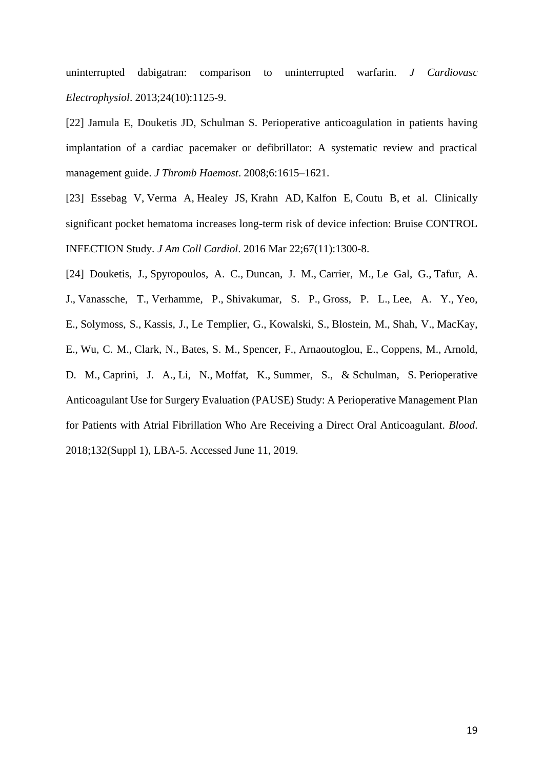uninterrupted dabigatran: comparison to uninterrupted warfarin. *[J Cardiovasc](https://www.ncbi.nlm.nih.gov/pubmed/23889767)  [Electrophysiol](https://www.ncbi.nlm.nih.gov/pubmed/23889767)*. 2013;24(10):1125-9.

[22] Jamula E, Douketis JD, Schulman S. Perioperative anticoagulation in patients having implantation of a cardiac pacemaker or defibrillator: A systematic review and practical management guide. *J Thromb Haemost*. 2008;6:1615–1621.

[23] [Essebag V,](https://www.ncbi.nlm.nih.gov/pubmed/?term=Essebag%20V%5BAuthor%5D&cauthor=true&cauthor_uid=26988951) [Verma A,](https://www.ncbi.nlm.nih.gov/pubmed/?term=Verma%20A%5BAuthor%5D&cauthor=true&cauthor_uid=26988951) [Healey JS,](https://www.ncbi.nlm.nih.gov/pubmed/?term=Healey%20JS%5BAuthor%5D&cauthor=true&cauthor_uid=26988951) [Krahn AD,](https://www.ncbi.nlm.nih.gov/pubmed/?term=Krahn%20AD%5BAuthor%5D&cauthor=true&cauthor_uid=26988951) [Kalfon E,](https://www.ncbi.nlm.nih.gov/pubmed/?term=Kalfon%20E%5BAuthor%5D&cauthor=true&cauthor_uid=26988951) [Coutu B,](https://www.ncbi.nlm.nih.gov/pubmed/?term=Coutu%20B%5BAuthor%5D&cauthor=true&cauthor_uid=26988951) et al. Clinically significant pocket hematoma increases long-term risk of device infection: Bruise CONTROL INFECTION Study. *J Am Coll Cardiol*. 2016 Mar 22;67(11):1300-8.

[24] Douketis, J., Spyropoulos, A. C., Duncan, J. M., Carrier, M., Le Gal, G., Tafur, A.

J., Vanassche, T., Verhamme, P., Shivakumar, S. P., Gross, P. L., Lee, A. Y., Yeo,

E., Solymoss, S., Kassis, J., Le Templier, G., Kowalski, S., Blostein, M., Shah, V., MacKay,

E., Wu, C. M., Clark, N., Bates, S. M., Spencer, F., Arnaoutoglou, E., Coppens, M., Arnold,

D. M., Caprini, J. A., Li, N., Moffat, K., Summer, S., & Schulman, S. Perioperative Anticoagulant Use for Surgery Evaluation (PAUSE) Study: A Perioperative Management Plan for Patients with Atrial Fibrillation Who Are Receiving a Direct Oral Anticoagulant. *Blood*. 2018;132(Suppl 1), LBA-5. Accessed June 11, 2019.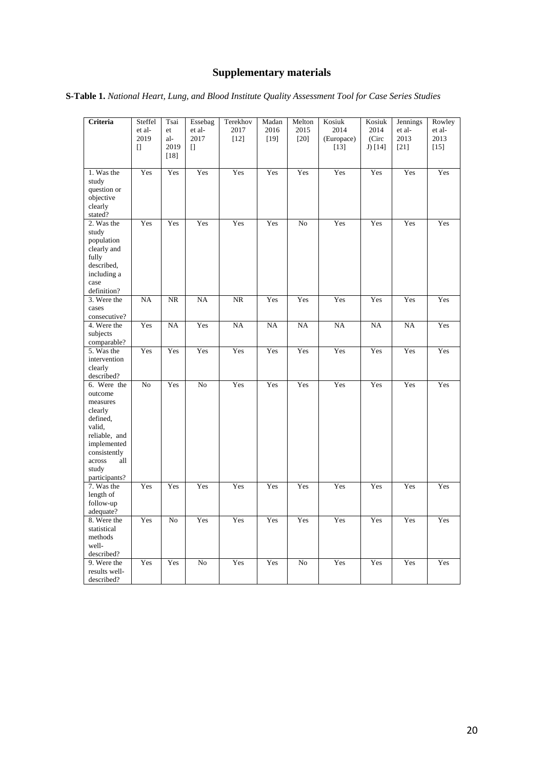# **Supplementary materials**

| S-Table 1. National Heart, Lung, and Blood Institute Quality Assessment Tool for Case Series Studies |  |
|------------------------------------------------------------------------------------------------------|--|
|------------------------------------------------------------------------------------------------------|--|

| Criteria                   | Steffel        | Tsai      | Essebag        | Terekhov       | Madan          | Melton         | Kosiuk             | Kosiuk        | Jennings       | Rowley         |
|----------------------------|----------------|-----------|----------------|----------------|----------------|----------------|--------------------|---------------|----------------|----------------|
|                            | et al-<br>2019 | et<br>al- | et al-<br>2017 | 2017<br>$[12]$ | 2016<br>$[19]$ | 2015<br>$[20]$ | 2014<br>(Europace) | 2014<br>(Circ | et al-<br>2013 | et al-<br>2013 |
|                            | $\Box$         | 2019      | $\Box$         |                |                |                | [13]               | J) $[14]$     | [21]           | $[15]$         |
|                            |                | $[18]$    |                |                |                |                |                    |               |                |                |
|                            |                |           |                |                |                |                |                    |               |                |                |
| 1. Was the                 | Yes            | Yes       | Yes            | Yes            | Yes            | Yes            | Yes                | Yes           | Yes            | Yes            |
| study                      |                |           |                |                |                |                |                    |               |                |                |
| question or<br>objective   |                |           |                |                |                |                |                    |               |                |                |
| clearly                    |                |           |                |                |                |                |                    |               |                |                |
| stated?                    |                |           |                |                |                |                |                    |               |                |                |
| 2. Was the                 | Yes            | Yes       | Yes            | Yes            | Yes            | No             | Yes                | Yes           | Yes            | Yes            |
| study                      |                |           |                |                |                |                |                    |               |                |                |
| population                 |                |           |                |                |                |                |                    |               |                |                |
| clearly and                |                |           |                |                |                |                |                    |               |                |                |
| fully                      |                |           |                |                |                |                |                    |               |                |                |
| described,                 |                |           |                |                |                |                |                    |               |                |                |
| including a                |                |           |                |                |                |                |                    |               |                |                |
| case                       |                |           |                |                |                |                |                    |               |                |                |
| definition?<br>3. Were the | <b>NA</b>      | <b>NR</b> | NA             | $\rm NR$       | Yes            | Yes            | Yes                | Yes           | Yes            | Yes            |
| cases                      |                |           |                |                |                |                |                    |               |                |                |
| consecutive?               |                |           |                |                |                |                |                    |               |                |                |
| 4. Were the                | Yes            | NA        | Yes            | NA             | NA             | <b>NA</b>      | <b>NA</b>          | <b>NA</b>     | <b>NA</b>      | Yes            |
| subjects                   |                |           |                |                |                |                |                    |               |                |                |
| comparable?                |                |           |                |                |                |                |                    |               |                |                |
| 5. Was the                 | Yes            | Yes       | Yes            | Yes            | Yes            | Yes            | Yes                | Yes           | Yes            | Yes            |
| intervention               |                |           |                |                |                |                |                    |               |                |                |
| clearly                    |                |           |                |                |                |                |                    |               |                |                |
| described?                 |                |           |                |                |                |                |                    |               |                |                |
| 6. Were the                | No             | Yes       | No             | Yes            | Yes            | Yes            | Yes                | Yes           | Yes            | Yes            |
| outcome<br>measures        |                |           |                |                |                |                |                    |               |                |                |
| clearly                    |                |           |                |                |                |                |                    |               |                |                |
| defined,                   |                |           |                |                |                |                |                    |               |                |                |
| valid,                     |                |           |                |                |                |                |                    |               |                |                |
| reliable, and              |                |           |                |                |                |                |                    |               |                |                |
| implemented                |                |           |                |                |                |                |                    |               |                |                |
| consistently               |                |           |                |                |                |                |                    |               |                |                |
| across<br>all              |                |           |                |                |                |                |                    |               |                |                |
| study                      |                |           |                |                |                |                |                    |               |                |                |
| participants?              |                |           |                |                |                |                |                    |               |                |                |
| 7. Was the                 | Yes            | Yes       | Yes            | Yes            | Yes            | Yes            | Yes                | Yes           | Yes            | Yes            |
| length of<br>follow-up     |                |           |                |                |                |                |                    |               |                |                |
| adequate?                  |                |           |                |                |                |                |                    |               |                |                |
| 8. Were the                | Yes            | No        | Yes            | Yes            | Yes            | Yes            | Yes                | Yes           | Yes            | Yes            |
| statistical                |                |           |                |                |                |                |                    |               |                |                |
| methods                    |                |           |                |                |                |                |                    |               |                |                |
| well-                      |                |           |                |                |                |                |                    |               |                |                |
| described?                 |                |           |                |                |                |                |                    |               |                |                |
| 9. Were the                | Yes            | Yes       | N <sub>o</sub> | Yes            | Yes            | No             | Yes                | Yes           | Yes            | Yes            |
| results well-              |                |           |                |                |                |                |                    |               |                |                |
| described?                 |                |           |                |                |                |                |                    |               |                |                |